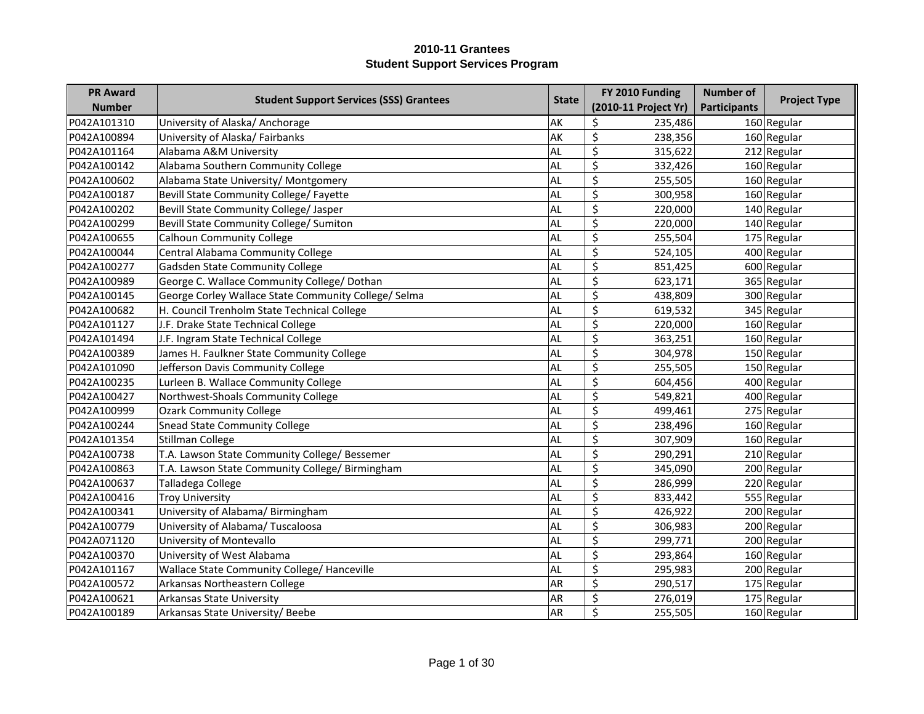| <b>PR Award</b> |                                                      |              | FY 2010 Funding             | <b>Number of</b>    | <b>Project Type</b> |  |
|-----------------|------------------------------------------------------|--------------|-----------------------------|---------------------|---------------------|--|
| <b>Number</b>   | <b>Student Support Services (SSS) Grantees</b>       | <b>State</b> | (2010-11 Project Yr)        | <b>Participants</b> |                     |  |
| P042A101310     | University of Alaska/ Anchorage                      | AK           | \$<br>235,486               |                     | 160 Regular         |  |
| P042A100894     | University of Alaska/ Fairbanks                      | AK           | \$<br>238,356               |                     | 160 Regular         |  |
| P042A101164     | Alabama A&M University                               | <b>AL</b>    | \$<br>315,622               |                     | $212$ Regular       |  |
| P042A100142     | Alabama Southern Community College                   | <b>AL</b>    | \$<br>332,426               |                     | 160 Regular         |  |
| P042A100602     | Alabama State University/ Montgomery                 | <b>AL</b>    | $\overline{\xi}$<br>255,505 |                     | 160 Regular         |  |
| P042A100187     | Bevill State Community College/ Fayette              | <b>AL</b>    | \$<br>300,958               |                     | 160 Regular         |  |
| P042A100202     | Bevill State Community College/ Jasper               | AL           | \$<br>220,000               |                     | 140 Regular         |  |
| P042A100299     | Bevill State Community College/ Sumiton              | <b>AL</b>    | \$<br>220,000               |                     | 140 Regular         |  |
| P042A100655     | Calhoun Community College                            | <b>AL</b>    | \$<br>255,504               |                     | 175 Regular         |  |
| P042A100044     | Central Alabama Community College                    | AL           | \$<br>524,105               |                     | 400 Regular         |  |
| P042A100277     | Gadsden State Community College                      | AL           | \$<br>851,425               |                     | 600 Regular         |  |
| P042A100989     | George C. Wallace Community College/ Dothan          | <b>AL</b>    | \$<br>623,171               |                     | 365 Regular         |  |
| P042A100145     | George Corley Wallace State Community College/ Selma | <b>AL</b>    | \$<br>438,809               |                     | 300 Regular         |  |
| P042A100682     | H. Council Trenholm State Technical College          | AL           | \$<br>619,532               |                     | 345 Regular         |  |
| P042A101127     | J.F. Drake State Technical College                   | <b>AL</b>    | \$<br>220,000               |                     | 160 Regular         |  |
| P042A101494     | J.F. Ingram State Technical College                  | <b>AL</b>    | \$<br>363,251               |                     | 160 Regular         |  |
| P042A100389     | James H. Faulkner State Community College            | <b>AL</b>    | \$<br>304,978               |                     | 150 Regular         |  |
| P042A101090     | Jefferson Davis Community College                    | <b>AL</b>    | \$<br>255,505               |                     | 150 Regular         |  |
| P042A100235     | Lurleen B. Wallace Community College                 | AL           | \$<br>604,456               |                     | 400 Regular         |  |
| P042A100427     | Northwest-Shoals Community College                   | <b>AL</b>    | \$<br>549,821               |                     | 400 Regular         |  |
| P042A100999     | <b>Ozark Community College</b>                       | AL           | \$<br>499,461               |                     | 275 Regular         |  |
| P042A100244     | Snead State Community College                        | <b>AL</b>    | \$<br>238,496               |                     | 160 Regular         |  |
| P042A101354     | Stillman College                                     | <b>AL</b>    | \$<br>307,909               |                     | 160 Regular         |  |
| P042A100738     | T.A. Lawson State Community College/ Bessemer        | AL           | \$<br>290,291               |                     | $210$ Regular       |  |
| P042A100863     | T.A. Lawson State Community College/ Birmingham      | AL           | \$<br>345,090               |                     | 200 Regular         |  |
| P042A100637     | Talladega College                                    | <b>AL</b>    | \$<br>286,999               |                     | 220 Regular         |  |
| P042A100416     | <b>Troy University</b>                               | <b>AL</b>    | \$<br>833,442               |                     | 555 Regular         |  |
| P042A100341     | University of Alabama/ Birmingham                    | AL           | \$<br>426,922               |                     | 200 Regular         |  |
| P042A100779     | University of Alabama/ Tuscaloosa                    | AL           | \$<br>306,983               |                     | 200 Regular         |  |
| P042A071120     | University of Montevallo                             | <b>AL</b>    | \$<br>299,771               |                     | 200 Regular         |  |
| P042A100370     | University of West Alabama                           | <b>AL</b>    | \$<br>293,864               |                     | 160 Regular         |  |
| P042A101167     | Wallace State Community College/ Hanceville          | <b>AL</b>    | \$<br>295,983               |                     | 200 Regular         |  |
| P042A100572     | Arkansas Northeastern College                        | AR           | \$<br>290,517               |                     | 175 Regular         |  |
| P042A100621     | Arkansas State University                            | AR           | \$<br>276,019               |                     | 175 Regular         |  |
| P042A100189     | Arkansas State University/ Beebe                     | AR           | \$<br>255,505               |                     | 160 Regular         |  |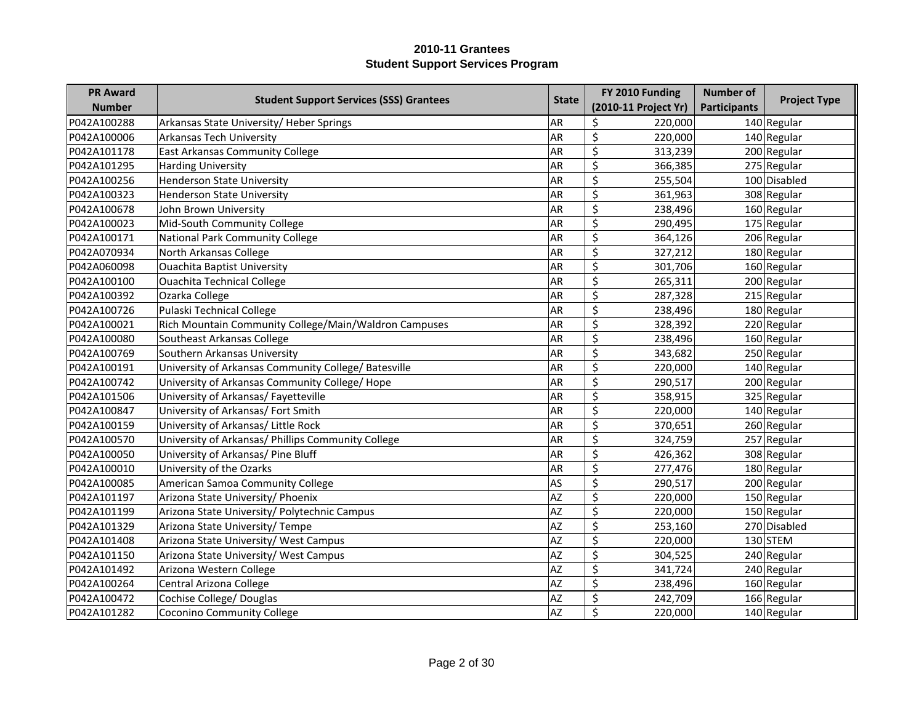| <b>PR Award</b> |                                                       |              | FY 2010 Funding             | <b>Number of</b>    |                     |
|-----------------|-------------------------------------------------------|--------------|-----------------------------|---------------------|---------------------|
| <b>Number</b>   | <b>Student Support Services (SSS) Grantees</b>        | <b>State</b> | (2010-11 Project Yr)        | <b>Participants</b> | <b>Project Type</b> |
| P042A100288     | Arkansas State University/ Heber Springs              | AR           | \$<br>220,000               |                     | 140 Regular         |
| P042A100006     | Arkansas Tech University                              | AR           | \$<br>220,000               |                     | 140 Regular         |
| P042A101178     | <b>East Arkansas Community College</b>                | AR           | \$<br>313,239               |                     | 200 Regular         |
| P042A101295     | Harding University                                    | <b>AR</b>    | \$<br>366,385               |                     | 275 Regular         |
| P042A100256     | Henderson State University                            | AR           | $\overline{\xi}$<br>255,504 |                     | 100 Disabled        |
| P042A100323     | Henderson State University                            | <b>AR</b>    | \$<br>361,963               |                     | 308 Regular         |
| P042A100678     | John Brown University                                 | <b>AR</b>    | \$<br>238,496               |                     | 160 Regular         |
| P042A100023     | Mid-South Community College                           | <b>AR</b>    | \$<br>290,495               |                     | 175 Regular         |
| P042A100171     | National Park Community College                       | AR           | \$<br>364,126               |                     | 206 Regular         |
| P042A070934     | North Arkansas College                                | AR           | \$<br>327,212               |                     | 180 Regular         |
| P042A060098     | Ouachita Baptist University                           | <b>AR</b>    | \$<br>301,706               |                     | 160 Regular         |
| P042A100100     | <b>Ouachita Technical College</b>                     | <b>AR</b>    | \$<br>265,311               |                     | 200 Regular         |
| P042A100392     | Ozarka College                                        | AR           | \$<br>287,328               |                     | $215$ Regular       |
| P042A100726     | Pulaski Technical College                             | AR           | \$<br>238,496               |                     | 180 Regular         |
| P042A100021     | Rich Mountain Community College/Main/Waldron Campuses | AR           | \$<br>328,392               |                     | 220 Regular         |
| P042A100080     | Southeast Arkansas College                            | AR           | \$<br>238,496               |                     | 160 Regular         |
| P042A100769     | Southern Arkansas University                          | <b>AR</b>    | \$<br>343,682               |                     | 250 Regular         |
| P042A100191     | University of Arkansas Community College/ Batesville  | <b>AR</b>    | \$<br>220,000               |                     | 140 Regular         |
| P042A100742     | University of Arkansas Community College/ Hope        | AR           | \$<br>290,517               |                     | 200 Regular         |
| P042A101506     | University of Arkansas/ Fayetteville                  | AR           | \$<br>358,915               |                     | 325 Regular         |
| P042A100847     | University of Arkansas/ Fort Smith                    | AR           | \$<br>220,000               |                     | $140$ Regular       |
| P042A100159     | University of Arkansas/ Little Rock                   | AR           | \$<br>370,651               |                     | 260 Regular         |
| P042A100570     | University of Arkansas/ Phillips Community College    | AR           | \$<br>324,759               |                     | 257 Regular         |
| P042A100050     | University of Arkansas/ Pine Bluff                    | AR           | \$<br>426,362               |                     | 308 Regular         |
| P042A100010     | University of the Ozarks                              | AR           | \$<br>277,476               |                     | 180 Regular         |
| P042A100085     | American Samoa Community College                      | AS           | \$<br>290,517               |                     | 200 Regular         |
| P042A101197     | Arizona State University/ Phoenix                     | AZ           | \$<br>220,000               |                     | 150 Regular         |
| P042A101199     | Arizona State University/ Polytechnic Campus          | <b>AZ</b>    | \$<br>220,000               |                     | 150 Regular         |
| P042A101329     | Arizona State University/ Tempe                       | <b>AZ</b>    | \$<br>253,160               |                     | 270 Disabled        |
| P042A101408     | Arizona State University/ West Campus                 | <b>AZ</b>    | \$<br>220,000               |                     | $130$ STEM          |
| P042A101150     | Arizona State University/ West Campus                 | AZ           | \$<br>304,525               |                     | 240 Regular         |
| P042A101492     | Arizona Western College                               | AZ           | \$<br>341,724               |                     | 240 Regular         |
| P042A100264     | Central Arizona College                               | AZ           | \$<br>238,496               |                     | 160 Regular         |
| P042A100472     | Cochise College/ Douglas                              | AZ           | \$<br>242,709               |                     | 166 Regular         |
| P042A101282     | <b>Coconino Community College</b>                     | <b>AZ</b>    | \$<br>220,000               |                     | 140 Regular         |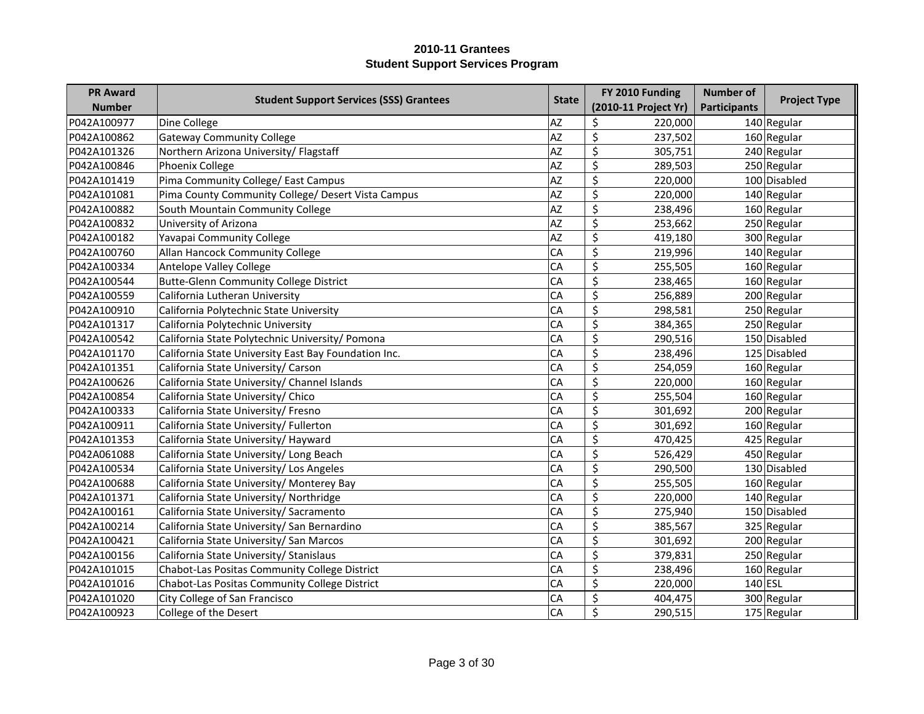| <b>PR Award</b> |                                                      |              | FY 2010 Funding             | <b>Number of</b>    |                     |
|-----------------|------------------------------------------------------|--------------|-----------------------------|---------------------|---------------------|
| <b>Number</b>   | <b>Student Support Services (SSS) Grantees</b>       | <b>State</b> | (2010-11 Project Yr)        | <b>Participants</b> | <b>Project Type</b> |
| P042A100977     | Dine College                                         | AZ           | \$<br>220,000               |                     | 140 Regular         |
| P042A100862     | <b>Gateway Community College</b>                     | AZ           | \$<br>237,502               |                     | 160 Regular         |
| P042A101326     | Northern Arizona University/ Flagstaff               | AZ           | \$<br>305,751               |                     | 240 Regular         |
| P042A100846     | Phoenix College                                      | AZ           | \$<br>289,503               |                     | 250 Regular         |
| P042A101419     | Pima Community College/ East Campus                  | AZ           | $\overline{\xi}$<br>220,000 |                     | 100 Disabled        |
| P042A101081     | Pima County Community College/ Desert Vista Campus   | AZ           | $\overline{\xi}$<br>220,000 |                     | 140 Regular         |
| P042A100882     | South Mountain Community College                     | AZ           | $\overline{\xi}$<br>238,496 |                     | 160 Regular         |
| P042A100832     | University of Arizona                                | AZ           | $\overline{\xi}$<br>253,662 |                     | 250 Regular         |
| P042A100182     | Yavapai Community College                            | AZ           | \$<br>419,180               |                     | 300 Regular         |
| P042A100760     | Allan Hancock Community College                      | CA           | \$<br>219,996               |                     | 140 Regular         |
| P042A100334     | Antelope Valley College                              | CA           | \$<br>255,505               |                     | 160 Regular         |
| P042A100544     | Butte-Glenn Community College District               | CA           | \$<br>238,465               |                     | 160 Regular         |
| P042A100559     | California Lutheran University                       | CA           | \$<br>256,889               |                     | 200 Regular         |
| P042A100910     | California Polytechnic State University              | CA           | $\overline{\xi}$<br>298,581 |                     | 250 Regular         |
| P042A101317     | California Polytechnic University                    | CA           | \$<br>384,365               |                     | 250 Regular         |
| P042A100542     | California State Polytechnic University/ Pomona      | CA           | \$<br>290,516               |                     | 150 Disabled        |
| P042A101170     | California State University East Bay Foundation Inc. | CA           | \$<br>238,496               |                     | 125 Disabled        |
| P042A101351     | California State University/ Carson                  | CA           | \$<br>254,059               |                     | 160 Regular         |
| P042A100626     | California State University/ Channel Islands         | CA           | \$<br>220,000               |                     | 160 Regular         |
| P042A100854     | California State University/ Chico                   | CA           | \$<br>255,504               |                     | 160 Regular         |
| P042A100333     | California State University/ Fresno                  | CA           | \$<br>301,692               |                     | 200 Regular         |
| P042A100911     | California State University/ Fullerton               | CA           | \$<br>301,692               |                     | 160 Regular         |
| P042A101353     | California State University/ Hayward                 | CA           | $\overline{\xi}$<br>470,425 |                     | 425 Regular         |
| P042A061088     | California State University/ Long Beach              | CA           | \$<br>526,429               |                     | 450 Regular         |
| P042A100534     | California State University/ Los Angeles             | CA           | \$<br>290,500               |                     | 130 Disabled        |
| P042A100688     | California State University/ Monterey Bay            | CA           | \$<br>255,505               |                     | 160 Regular         |
| P042A101371     | California State University/ Northridge              | CA           | \$<br>220,000               |                     | 140 Regular         |
| P042A100161     | California State University/ Sacramento              | CA           | \$<br>275,940               |                     | 150 Disabled        |
| P042A100214     | California State University/ San Bernardino          | CA           | \$<br>385,567               |                     | 325 Regular         |
| P042A100421     | California State University/ San Marcos              | CA           | \$<br>301,692               |                     | 200 Regular         |
| P042A100156     | California State University/ Stanislaus              | CA           | \$<br>379,831               |                     | 250 Regular         |
| P042A101015     | Chabot-Las Positas Community College District        | CA           | $\overline{\xi}$<br>238,496 |                     | 160 Regular         |
| P042A101016     | Chabot-Las Positas Community College District        | CA           | \$<br>220,000               | $140$ ESL           |                     |
| P042A101020     | City College of San Francisco                        | CA           | \$<br>404,475               |                     | 300 Regular         |
| P042A100923     | College of the Desert                                | CA           | \$<br>290,515               |                     | 175 Regular         |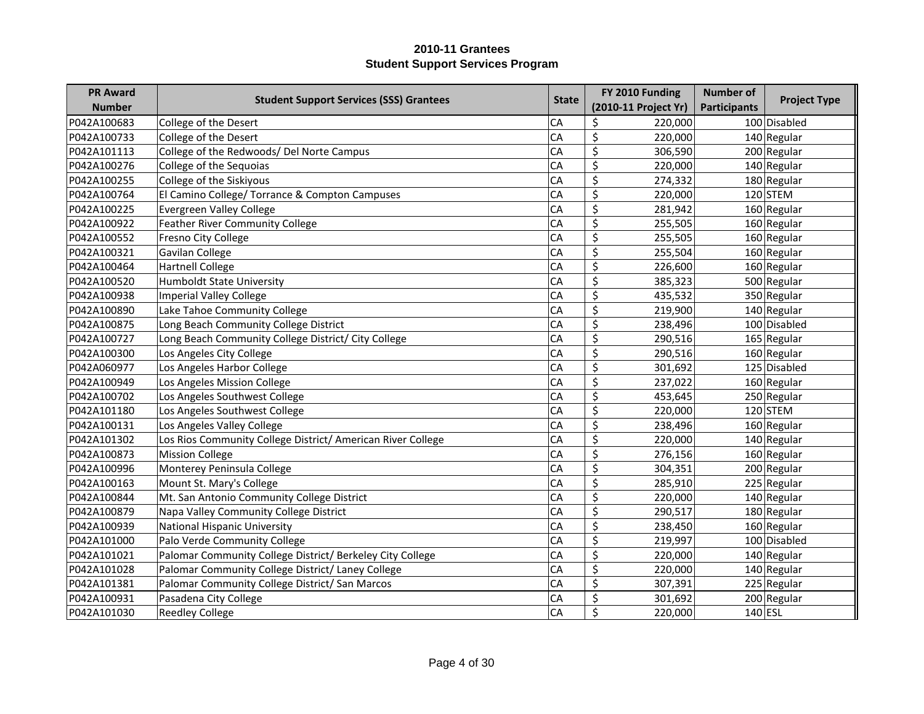| <b>PR Award</b> |                                                             |              | FY 2010 Funding             | <b>Number of</b>    |                     |
|-----------------|-------------------------------------------------------------|--------------|-----------------------------|---------------------|---------------------|
| <b>Number</b>   | <b>Student Support Services (SSS) Grantees</b>              | <b>State</b> | (2010-11 Project Yr)        | <b>Participants</b> | <b>Project Type</b> |
| P042A100683     | College of the Desert                                       | CA           | \$<br>220,000               |                     | 100 Disabled        |
| P042A100733     | College of the Desert                                       | CA           | \$<br>220,000               |                     | 140 Regular         |
| P042A101113     | College of the Redwoods/ Del Norte Campus                   | CA           | \$<br>306,590               |                     | 200 Regular         |
| P042A100276     | College of the Sequoias                                     | CA           | \$<br>220,000               |                     | 140 Regular         |
| P042A100255     | College of the Siskiyous                                    | CA           | $\overline{\xi}$<br>274,332 |                     | 180 Regular         |
| P042A100764     | El Camino College/ Torrance & Compton Campuses              | CA           | $\overline{\xi}$<br>220,000 |                     | $120$ STEM          |
| P042A100225     | Evergreen Valley College                                    | CA           | \$<br>281,942               |                     | 160 Regular         |
| P042A100922     | Feather River Community College                             | CA           | \$<br>255,505               |                     | 160 Regular         |
| P042A100552     | Fresno City College                                         | CA           | \$<br>255,505               |                     | 160 Regular         |
| P042A100321     | Gavilan College                                             | CA           | \$<br>255,504               |                     | 160 Regular         |
| P042A100464     | <b>Hartnell College</b>                                     | CA           | \$<br>226,600               |                     | 160 Regular         |
| P042A100520     | <b>Humboldt State University</b>                            | CA           | \$<br>385,323               |                     | 500 Regular         |
| P042A100938     | <b>Imperial Valley College</b>                              | <b>CA</b>    | \$<br>435,532               |                     | 350 Regular         |
| P042A100890     | Lake Tahoe Community College                                | <b>CA</b>    | \$<br>219,900               |                     | 140 Regular         |
| P042A100875     | Long Beach Community College District                       | CA           | \$<br>238,496               |                     | 100 Disabled        |
| P042A100727     | Long Beach Community College District/ City College         | CA           | \$<br>290,516               |                     | 165 Regular         |
| P042A100300     | Los Angeles City College                                    | CA           | \$<br>290,516               |                     | 160 Regular         |
| P042A060977     | Los Angeles Harbor College                                  | CA           | \$<br>301,692               |                     | 125 Disabled        |
| P042A100949     | Los Angeles Mission College                                 | CA           | \$<br>237,022               |                     | 160 Regular         |
| P042A100702     | Los Angeles Southwest College                               | CA           | \$<br>453,645               |                     | 250 Regular         |
| P042A101180     | Los Angeles Southwest College                               | CA           | \$<br>220,000               |                     | $120$ STEM          |
| P042A100131     | Los Angeles Valley College                                  | CA           | \$<br>238,496               |                     | 160 Regular         |
| P042A101302     | Los Rios Community College District/ American River College | CA           | \$<br>220,000               |                     | 140 Regular         |
| P042A100873     | <b>Mission College</b>                                      | CA           | \$<br>276,156               |                     | 160 Regular         |
| P042A100996     | Monterey Peninsula College                                  | CA           | \$<br>304,351               |                     | 200 Regular         |
| P042A100163     | Mount St. Mary's College                                    | CA           | \$<br>285,910               |                     | 225 Regular         |
| P042A100844     | Mt. San Antonio Community College District                  | CA           | \$<br>220,000               |                     | 140 Regular         |
| P042A100879     | Napa Valley Community College District                      | CA           | $\overline{\xi}$<br>290,517 |                     | 180 Regular         |
| P042A100939     | National Hispanic University                                | CA           | \$<br>238,450               |                     | 160 Regular         |
| P042A101000     | Palo Verde Community College                                | CA           | \$<br>219,997               |                     | 100 Disabled        |
| P042A101021     | Palomar Community College District/ Berkeley City College   | CA           | \$<br>220,000               |                     | 140 Regular         |
| P042A101028     | Palomar Community College District/ Laney College           | CA           | \$<br>220,000               |                     | 140 Regular         |
| P042A101381     | Palomar Community College District/ San Marcos              | CA           | \$<br>307,391               |                     | 225 Regular         |
| P042A100931     | Pasadena City College                                       | CA           | \$<br>301,692               |                     | 200 Regular         |
| P042A101030     | <b>Reedley College</b>                                      | <b>CA</b>    | \$<br>220,000               | $140$ ESL           |                     |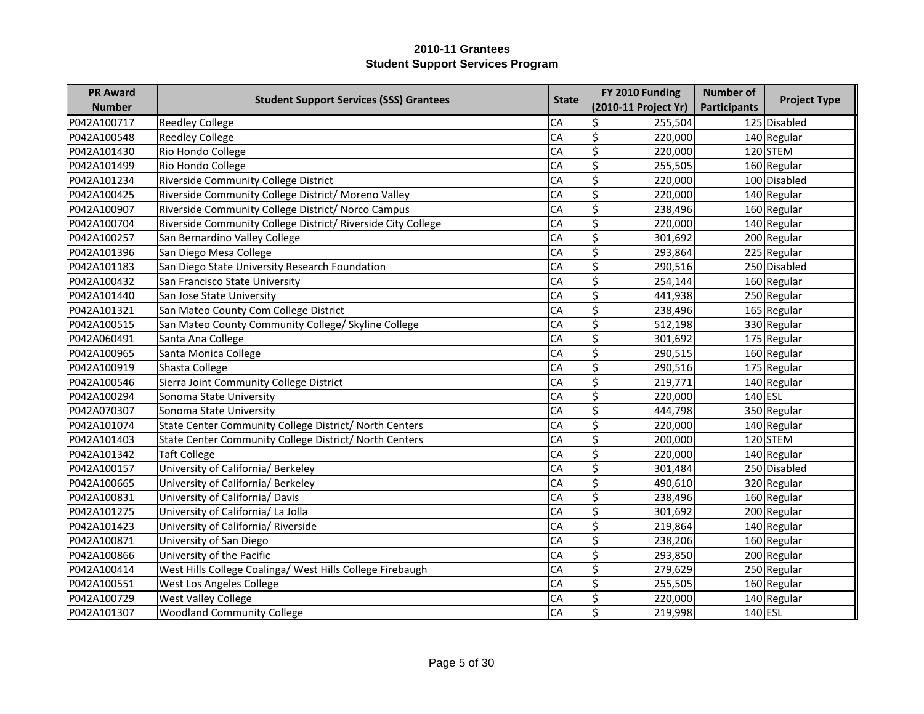| <b>PR Award</b> |                                                              |              | FY 2010 Funding             | <b>Number of</b>    |                     |
|-----------------|--------------------------------------------------------------|--------------|-----------------------------|---------------------|---------------------|
| <b>Number</b>   | <b>Student Support Services (SSS) Grantees</b>               | <b>State</b> | (2010-11 Project Yr)        | <b>Participants</b> | <b>Project Type</b> |
| P042A100717     | <b>Reedley College</b>                                       | CA           | \$<br>255,504               |                     | 125 Disabled        |
| P042A100548     | Reedley College                                              | CA           | \$<br>220,000               |                     | 140 Regular         |
| P042A101430     | Rio Hondo College                                            | CA           | \$<br>220,000               |                     | $120$ STEM          |
| P042A101499     | Rio Hondo College                                            | CA           | \$<br>255,505               |                     | $160$ Regular       |
| P042A101234     | Riverside Community College District                         | CA           | $\overline{\xi}$<br>220,000 |                     | 100 Disabled        |
| P042A100425     | Riverside Community College District/ Moreno Valley          | CA           | \$<br>220,000               |                     | 140 Regular         |
| P042A100907     | Riverside Community College District/ Norco Campus           | CA           | \$<br>238,496               |                     | 160 Regular         |
| P042A100704     | Riverside Community College District/ Riverside City College | CA           | \$<br>220,000               |                     | 140 Regular         |
| P042A100257     | San Bernardino Valley College                                | CA           | \$<br>301,692               |                     | 200 Regular         |
| P042A101396     | San Diego Mesa College                                       | CA           | \$<br>293,864               |                     | 225 Regular         |
| P042A101183     | San Diego State University Research Foundation               | CA           | \$<br>290,516               |                     | 250 Disabled        |
| P042A100432     | San Francisco State University                               | CA           | \$<br>254,144               |                     | 160 Regular         |
| P042A101440     | San Jose State University                                    | CA           | \$<br>441,938               |                     | 250 Regular         |
| P042A101321     | San Mateo County Com College District                        | CA           | \$<br>238,496               |                     | 165 Regular         |
| P042A100515     | San Mateo County Community College/ Skyline College          | CA           | \$<br>512,198               |                     | 330 Regular         |
| P042A060491     | Santa Ana College                                            | CA           | \$<br>301,692               |                     | 175 Regular         |
| P042A100965     | Santa Monica College                                         | CA           | \$<br>290,515               |                     | 160 Regular         |
| P042A100919     | Shasta College                                               | CA           | \$<br>290,516               |                     | 175 Regular         |
| P042A100546     | Sierra Joint Community College District                      | CA           | \$<br>219,771               |                     | 140 Regular         |
| P042A100294     | Sonoma State University                                      | CA           | \$<br>220,000               | $140$ ESL           |                     |
| P042A070307     | Sonoma State University                                      | CA           | \$<br>444,798               |                     | 350 Regular         |
| P042A101074     | State Center Community College District/ North Centers       | CA           | \$<br>220,000               |                     | 140 Regular         |
| P042A101403     | State Center Community College District/ North Centers       | CA           | \$<br>200,000               |                     | $120$ STEM          |
| P042A101342     | <b>Taft College</b>                                          | CA           | \$<br>220,000               |                     | $140$ Regular       |
| P042A100157     | University of California/ Berkeley                           | CA           | \$<br>301,484               |                     | 250 Disabled        |
| P042A100665     | University of California/ Berkeley                           | CA           | \$<br>490,610               |                     | 320 Regular         |
| P042A100831     | University of California/ Davis                              | CA           | \$<br>238,496               |                     | 160 Regular         |
| P042A101275     | University of California/ La Jolla                           | CA           | \$<br>301,692               |                     | 200 Regular         |
| P042A101423     | University of California/ Riverside                          | CA           | \$<br>219,864               |                     | $140$ Regular       |
| P042A100871     | University of San Diego                                      | CA           | \$<br>238,206               |                     | 160 Regular         |
| P042A100866     | University of the Pacific                                    | CA           | \$<br>293,850               |                     | 200 Regular         |
| P042A100414     | West Hills College Coalinga/ West Hills College Firebaugh    | CA           | $\overline{\xi}$<br>279,629 |                     | 250 Regular         |
| P042A100551     | West Los Angeles College                                     | CA           | \$<br>255,505               |                     | 160 Regular         |
| P042A100729     | <b>West Valley College</b>                                   | CA           | \$<br>220,000               |                     | 140 Regular         |
| P042A101307     | <b>Woodland Community College</b>                            | CA           | $\zeta$<br>219,998          | $140$ ESL           |                     |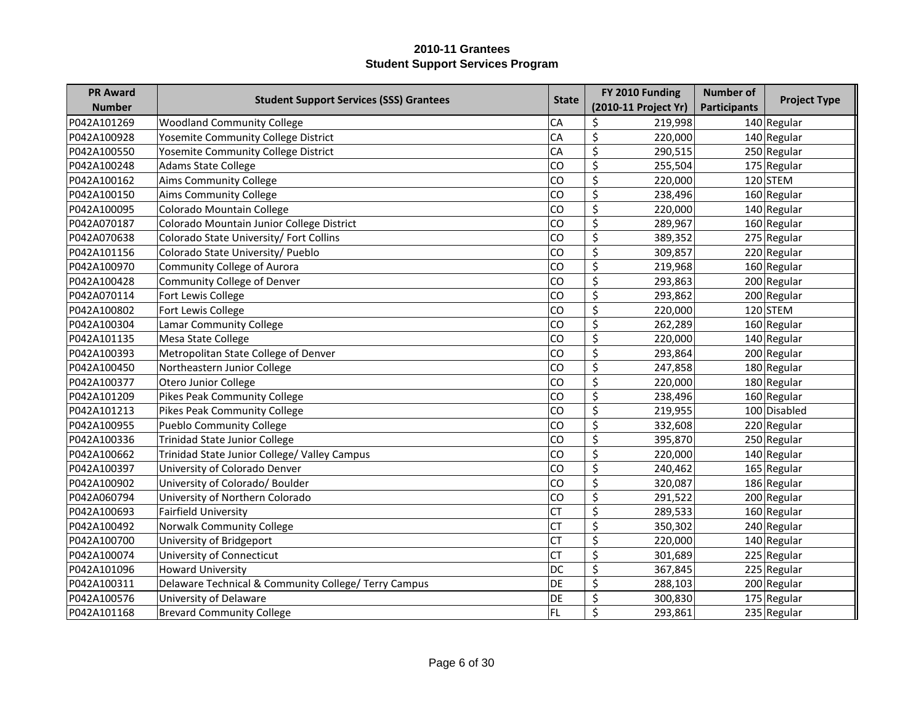| <b>PR Award</b> |                                                      |              | FY 2010 Funding             | <b>Number of</b>    |                     |
|-----------------|------------------------------------------------------|--------------|-----------------------------|---------------------|---------------------|
| <b>Number</b>   | <b>Student Support Services (SSS) Grantees</b>       | <b>State</b> | (2010-11 Project Yr)        | <b>Participants</b> | <b>Project Type</b> |
| P042A101269     | <b>Woodland Community College</b>                    | CA           | \$<br>219,998               |                     | 140 Regular         |
| P042A100928     | Yosemite Community College District                  | CA           | \$<br>220,000               |                     | 140 Regular         |
| P042A100550     | Yosemite Community College District                  | CA           | \$<br>290,515               |                     | 250 Regular         |
| P042A100248     | Adams State College                                  | <b>CO</b>    | \$<br>255,504               |                     | 175 Regular         |
| P042A100162     | Aims Community College                               | <b>CO</b>    | \$<br>220,000               |                     | $120$ STEM          |
| P042A100150     | Aims Community College                               | <b>CO</b>    | $\overline{\xi}$<br>238,496 |                     | 160 Regular         |
| P042A100095     | Colorado Mountain College                            | <b>CO</b>    | \$<br>220,000               |                     | 140 Regular         |
| P042A070187     | Colorado Mountain Junior College District            | <b>CO</b>    | \$<br>289,967               |                     | 160 Regular         |
| P042A070638     | Colorado State University/ Fort Collins              | <b>CO</b>    | \$<br>389,352               |                     | 275 Regular         |
| P042A101156     | Colorado State University/ Pueblo                    | <b>CO</b>    | \$<br>309,857               |                     | 220 Regular         |
| P042A100970     | Community College of Aurora                          | <b>CO</b>    | \$<br>219,968               |                     | 160 Regular         |
| P042A100428     | Community College of Denver                          | <b>CO</b>    | \$<br>293,863               |                     | 200 Regular         |
| P042A070114     | Fort Lewis College                                   | <b>CO</b>    | \$<br>293,862               |                     | 200 Regular         |
| P042A100802     | Fort Lewis College                                   | <b>CO</b>    | \$<br>220,000               |                     | $120$ STEM          |
| P042A100304     | Lamar Community College                              | <b>CO</b>    | \$<br>262,289               |                     | 160 Regular         |
| P042A101135     | Mesa State College                                   | <b>CO</b>    | \$<br>220,000               |                     | 140 Regular         |
| P042A100393     | Metropolitan State College of Denver                 | CO           | \$<br>293,864               |                     | 200 Regular         |
| P042A100450     | Northeastern Junior College                          | CO           | \$<br>247,858               |                     | 180 Regular         |
| P042A100377     | Otero Junior College                                 | CO           | \$<br>220,000               |                     | 180 Regular         |
| P042A101209     | Pikes Peak Community College                         | CO           | \$<br>238,496               |                     | 160 Regular         |
| P042A101213     | Pikes Peak Community College                         | CO           | $\zeta$<br>219,955          |                     | 100 Disabled        |
| P042A100955     | Pueblo Community College                             | CO           | \$<br>332,608               |                     | 220 Regular         |
| P042A100336     | Trinidad State Junior College                        | CO           | \$<br>395,870               |                     | 250 Regular         |
| P042A100662     | Trinidad State Junior College/ Valley Campus         | CO           | \$<br>220,000               |                     | 140 Regular         |
| P042A100397     | University of Colorado Denver                        | CO           | \$<br>240,462               |                     | 165 Regular         |
| P042A100902     | University of Colorado/ Boulder                      | CO           | \$<br>320,087               |                     | 186 Regular         |
| P042A060794     | University of Northern Colorado                      | CO           | \$<br>291,522               |                     | 200 Regular         |
| P042A100693     | Fairfield University                                 | <b>CT</b>    | \$<br>289,533               |                     | 160 Regular         |
| P042A100492     | Norwalk Community College                            | <b>CT</b>    | \$<br>350,302               |                     | 240 Regular         |
| P042A100700     | University of Bridgeport                             | <b>CT</b>    | \$<br>220,000               |                     | $140$ Regular       |
| P042A100074     | University of Connecticut                            | CT           | \$<br>301,689               |                     | 225 Regular         |
| P042A101096     | <b>Howard University</b>                             | <b>DC</b>    | \$<br>367,845               |                     | 225 Regular         |
| P042A100311     | Delaware Technical & Community College/ Terry Campus | DE           | \$<br>288,103               |                     | 200 Regular         |
| P042A100576     | University of Delaware                               | DE           | \$<br>300,830               |                     | 175 Regular         |
| P042A101168     | <b>Brevard Community College</b>                     | FL           | \$<br>293,861               |                     | 235 Regular         |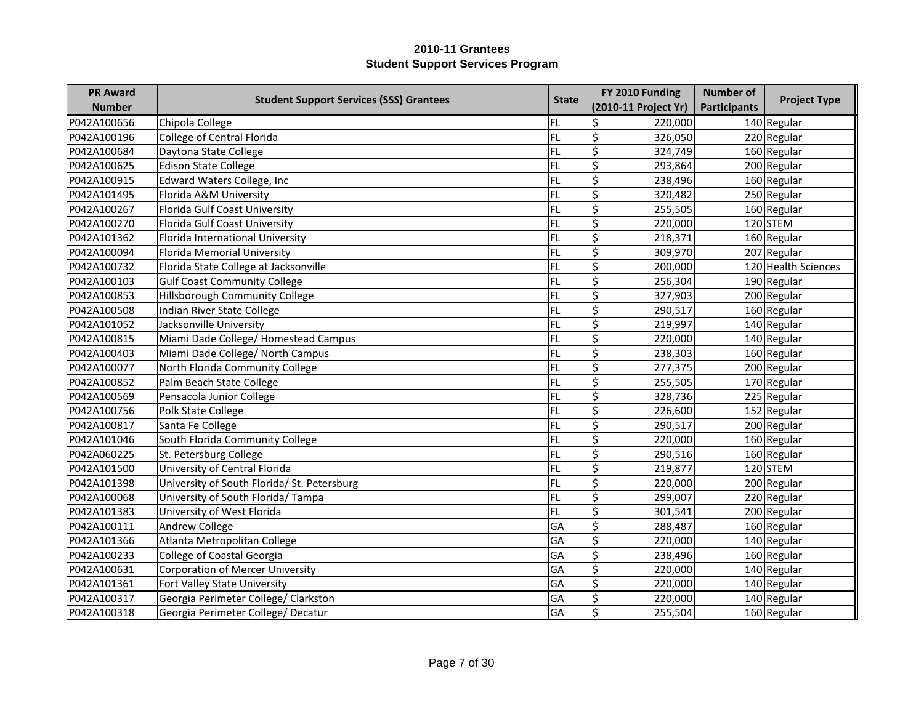| <b>PR Award</b> |                                                |           | FY 2010 Funding<br><b>State</b> | <b>Number of</b>    |                     |
|-----------------|------------------------------------------------|-----------|---------------------------------|---------------------|---------------------|
| <b>Number</b>   | <b>Student Support Services (SSS) Grantees</b> |           | (2010-11 Project Yr)            | <b>Participants</b> | <b>Project Type</b> |
| P042A100656     | Chipola College                                | FL.       | \$<br>220,000                   |                     | 140 Regular         |
| P042A100196     | College of Central Florida                     | FL.       | \$<br>326,050                   |                     | 220 Regular         |
| P042A100684     | Daytona State College                          | FL        | \$<br>324,749                   |                     | 160 Regular         |
| P042A100625     | <b>Edison State College</b>                    | FL.       | \$<br>293,864                   |                     | 200 Regular         |
| P042A100915     | Edward Waters College, Inc                     | FL        | $\overline{\xi}$<br>238,496     |                     | 160 Regular         |
| P042A101495     | Florida A&M University                         | FL.       | \$<br>320,482                   |                     | 250 Regular         |
| P042A100267     | Florida Gulf Coast University                  | <b>FL</b> | \$<br>255,505                   |                     | 160 Regular         |
| P042A100270     | Florida Gulf Coast University                  | FL.       | \$<br>220,000                   |                     | $120$ STEM          |
| P042A101362     | Florida International University               | FL.       | \$<br>218,371                   |                     | 160 Regular         |
| P042A100094     | <b>Florida Memorial University</b>             | <b>FL</b> | \$<br>309,970                   |                     | 207 Regular         |
| P042A100732     | Florida State College at Jacksonville          | <b>FL</b> | \$<br>200,000                   |                     | 120 Health Sciences |
| P042A100103     | <b>Gulf Coast Community College</b>            | <b>FL</b> | \$<br>256,304                   |                     | 190 Regular         |
| P042A100853     | Hillsborough Community College                 | FL.       | \$<br>327,903                   |                     | 200 Regular         |
| P042A100508     | Indian River State College                     | FL.       | \$<br>290,517                   |                     | 160 Regular         |
| P042A101052     | Jacksonville University                        | FL.       | \$<br>219,997                   |                     | 140 Regular         |
| P042A100815     | Miami Dade College/ Homestead Campus           | FL.       | \$<br>220,000                   |                     | 140 Regular         |
| P042A100403     | Miami Dade College/ North Campus               | FL        | \$<br>238,303                   |                     | 160 Regular         |
| P042A100077     | North Florida Community College                | FL.       | \$<br>277,375                   |                     | 200 Regular         |
| P042A100852     | Palm Beach State College                       | FL        | \$<br>255,505                   |                     | 170 Regular         |
| P042A100569     | Pensacola Junior College                       | FL.       | \$<br>328,736                   |                     | 225 Regular         |
| P042A100756     | Polk State College                             | FL        | \$<br>226,600                   |                     | 152 Regular         |
| P042A100817     | Santa Fe College                               | FL        | \$<br>290,517                   |                     | 200 Regular         |
| P042A101046     | South Florida Community College                | FL        | \$<br>220,000                   |                     | 160 Regular         |
| P042A060225     | St. Petersburg College                         | <b>FL</b> | \$<br>290,516                   |                     | 160 Regular         |
| P042A101500     | University of Central Florida                  | FL.       | \$<br>219,877                   |                     | $120$ STEM          |
| P042A101398     | University of South Florida/ St. Petersburg    | FL        | \$<br>220,000                   |                     | 200 Regular         |
| P042A100068     | University of South Florida/ Tampa             | FL.       | \$<br>299,007                   |                     | 220 Regular         |
| P042A101383     | University of West Florida                     | FL.       | \$<br>301,541                   |                     | 200 Regular         |
| P042A100111     | Andrew College                                 | GA        | \$<br>288,487                   |                     | 160 Regular         |
| P042A101366     | Atlanta Metropolitan College                   | GA        | \$<br>220,000                   |                     | 140 Regular         |
| P042A100233     | College of Coastal Georgia                     | GA        | \$<br>238,496                   |                     | 160 Regular         |
| P042A100631     | <b>Corporation of Mercer University</b>        | GA        | $\overline{\xi}$<br>220,000     |                     | 140 Regular         |
| P042A101361     | Fort Valley State University                   | GA        | \$<br>220,000                   |                     | 140 Regular         |
| P042A100317     | Georgia Perimeter College/ Clarkston           | GA        | \$<br>220,000                   |                     | 140 Regular         |
| P042A100318     | Georgia Perimeter College/ Decatur             | GA        | \$<br>255,504                   |                     | 160 Regular         |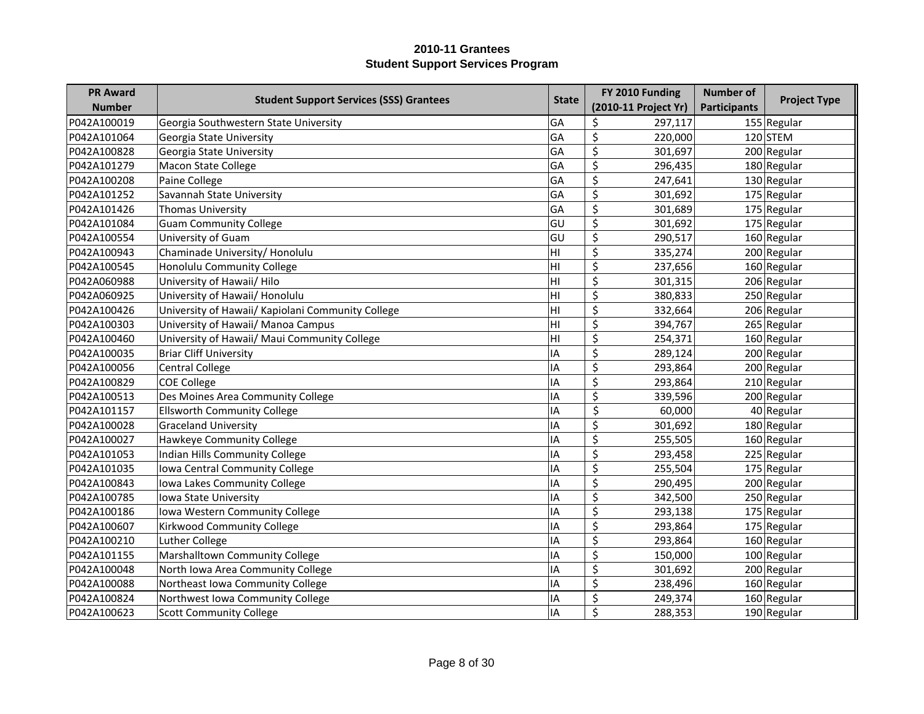| <b>PR Award</b> |                                                   |              | FY 2010 Funding             | <b>Number of</b>    |                     |  |
|-----------------|---------------------------------------------------|--------------|-----------------------------|---------------------|---------------------|--|
| <b>Number</b>   | <b>Student Support Services (SSS) Grantees</b>    | <b>State</b> | (2010-11 Project Yr)        | <b>Participants</b> | <b>Project Type</b> |  |
| P042A100019     | Georgia Southwestern State University             | GA           | \$<br>297,117               |                     | 155 Regular         |  |
| P042A101064     | Georgia State University                          | GA           | \$<br>220,000               |                     | $120$ STEM          |  |
| P042A100828     | Georgia State University                          | GA           | \$<br>301,697               |                     | 200 Regular         |  |
| P042A101279     | Macon State College                               | GA           | \$<br>296,435               |                     | 180 Regular         |  |
| P042A100208     | Paine College                                     | GA           | $\overline{\xi}$<br>247,641 |                     | 130 Regular         |  |
| P042A101252     | Savannah State University                         | GA           | \$<br>301,692               |                     | 175 Regular         |  |
| P042A101426     | <b>Thomas University</b>                          | GA           | \$<br>301,689               |                     | $175$ Regular       |  |
| P042A101084     | <b>Guam Community College</b>                     | GU           | \$<br>301,692               |                     | 175 Regular         |  |
| P042A100554     | University of Guam                                | GU           | \$<br>290,517               |                     | 160 Regular         |  |
| P042A100943     | Chaminade University/ Honolulu                    | H1           | \$<br>335,274               |                     | 200 Regular         |  |
| P042A100545     | Honolulu Community College                        | H1           | \$<br>237,656               |                     | 160 Regular         |  |
| P042A060988     | University of Hawaii/ Hilo                        | H1           | \$<br>301,315               |                     | 206 Regular         |  |
| P042A060925     | University of Hawaii/ Honolulu                    | HI           | \$<br>380,833               |                     | 250 Regular         |  |
| P042A100426     | University of Hawaii/ Kapiolani Community College | HI           | \$<br>332,664               |                     | 206 Regular         |  |
| P042A100303     | University of Hawaii/ Manoa Campus                | HI           | \$<br>394,767               |                     | 265 Regular         |  |
| P042A100460     | University of Hawaii/ Maui Community College      | HI           | \$<br>254,371               |                     | 160 Regular         |  |
| P042A100035     | <b>Briar Cliff University</b>                     | ΙA           | \$<br>289,124               |                     | 200 Regular         |  |
| P042A100056     | <b>Central College</b>                            | ΙA           | \$<br>293,864               |                     | 200 Regular         |  |
| P042A100829     | <b>COE College</b>                                | ΙA           | \$<br>293,864               |                     | $210$ Regular       |  |
| P042A100513     | Des Moines Area Community College                 | ΙA           | \$<br>339,596               |                     | 200 Regular         |  |
| P042A101157     | <b>Ellsworth Community College</b>                | ΙA           | \$<br>60,000                |                     | $40$ Regular        |  |
| P042A100028     | <b>Graceland University</b>                       | ΙA           | \$<br>301,692               |                     | 180 Regular         |  |
| P042A100027     | Hawkeye Community College                         | ΙA           | \$<br>255,505               |                     | 160 Regular         |  |
| P042A101053     | Indian Hills Community College                    | ΙA           | \$<br>293,458               |                     | 225 Regular         |  |
| P042A101035     | Iowa Central Community College                    | ΙA           | \$<br>255,504               |                     | 175 Regular         |  |
| P042A100843     | Iowa Lakes Community College                      | IA           | \$<br>290,495               |                     | 200 Regular         |  |
| P042A100785     | Iowa State University                             | ΙA           | \$<br>342,500               |                     | 250 Regular         |  |
| P042A100186     | Iowa Western Community College                    | ΙA           | \$<br>293,138               |                     | 175 Regular         |  |
| P042A100607     | Kirkwood Community College                        | ΙA           | \$<br>293,864               |                     | 175 Regular         |  |
| P042A100210     | Luther College                                    | ΙA           | \$<br>293,864               |                     | 160 Regular         |  |
| P042A101155     | Marshalltown Community College                    | IA           | \$<br>150,000               |                     | 100 Regular         |  |
| P042A100048     | North Iowa Area Community College                 | IA           | \$<br>301,692               |                     | 200 Regular         |  |
| P042A100088     | Northeast Iowa Community College                  | ΙA           | \$<br>238,496               |                     | 160 Regular         |  |
| P042A100824     | Northwest Iowa Community College                  | ΙA           | \$<br>249,374               |                     | 160 Regular         |  |
| P042A100623     | <b>Scott Community College</b>                    | IA           | \$<br>288,353               |                     | 190 Regular         |  |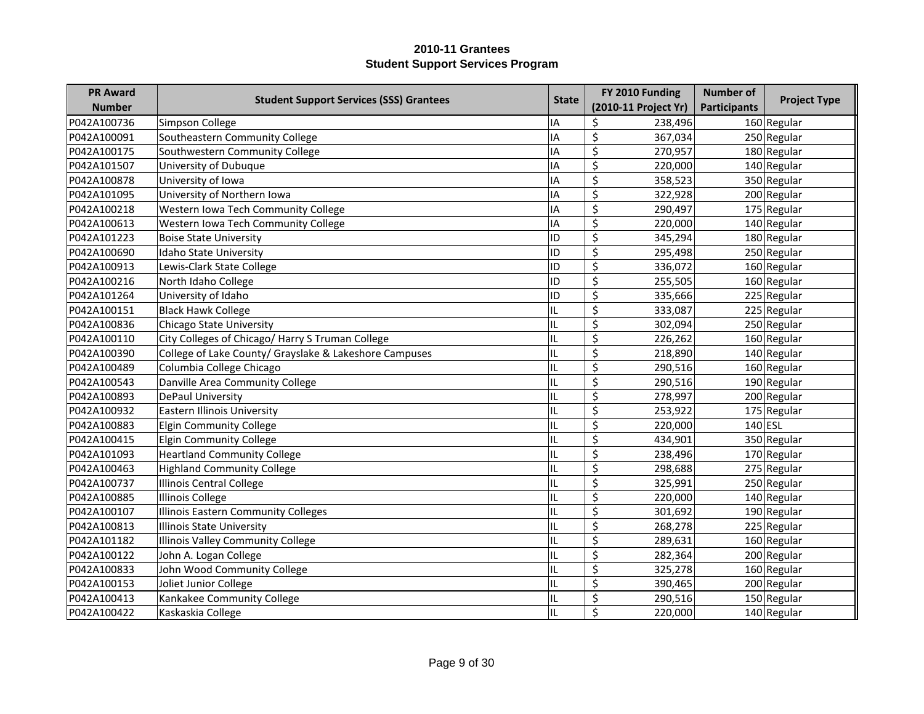| <b>PR Award</b> |                                                        |              | FY 2010 Funding             | <b>Number of</b>    | <b>Project Type</b> |  |
|-----------------|--------------------------------------------------------|--------------|-----------------------------|---------------------|---------------------|--|
| <b>Number</b>   | <b>Student Support Services (SSS) Grantees</b>         | <b>State</b> | (2010-11 Project Yr)        | <b>Participants</b> |                     |  |
| P042A100736     | Simpson College                                        | IA           | \$<br>238,496               |                     | 160 Regular         |  |
| P042A100091     | Southeastern Community College                         | ΙA           | \$<br>367,034               |                     | 250 Regular         |  |
| P042A100175     | Southwestern Community College                         | IA           | \$<br>270,957               |                     | 180 Regular         |  |
| P042A101507     | University of Dubuque                                  | ΙA           | \$<br>220,000               |                     | $140$ Regular       |  |
| P042A100878     | University of Iowa                                     | IA           | $\overline{\xi}$<br>358,523 |                     | 350 Regular         |  |
| P042A101095     | University of Northern Iowa                            | IA           | \$<br>322,928               |                     | 200 Regular         |  |
| P042A100218     | Western Iowa Tech Community College                    | IA           | \$<br>290,497               |                     | 175 Regular         |  |
| P042A100613     | Western Iowa Tech Community College                    | IA           | \$<br>220,000               |                     | 140 Regular         |  |
| P042A101223     | <b>Boise State University</b>                          | ID           | \$<br>345,294               |                     | 180 Regular         |  |
| P042A100690     | Idaho State University                                 | ID           | \$<br>295,498               |                     | 250 Regular         |  |
| P042A100913     | Lewis-Clark State College                              | ID           | \$<br>336,072               |                     | 160 Regular         |  |
| P042A100216     | North Idaho College                                    | ID           | \$<br>255,505               |                     | 160 Regular         |  |
| P042A101264     | University of Idaho                                    | ID           | \$<br>335,666               |                     | 225 Regular         |  |
| P042A100151     | <b>Black Hawk College</b>                              | IL           | \$<br>333,087               |                     | 225 Regular         |  |
| P042A100836     | Chicago State University                               | IL           | \$<br>302,094               |                     | 250 Regular         |  |
| P042A100110     | City Colleges of Chicago/ Harry S Truman College       | IL           | \$<br>226,262               |                     | 160 Regular         |  |
| P042A100390     | College of Lake County/ Grayslake & Lakeshore Campuses | IL           | \$<br>218,890               |                     | $140$ Regular       |  |
| P042A100489     | Columbia College Chicago                               | IL           | \$<br>290,516               |                     | 160 Regular         |  |
| P042A100543     | Danville Area Community College                        | IL           | \$<br>290,516               |                     | 190 Regular         |  |
| P042A100893     | DePaul University                                      | IL           | \$<br>278,997               |                     | 200 Regular         |  |
| P042A100932     | Eastern Illinois University                            | IL           | \$<br>253,922               |                     | 175 Regular         |  |
| P042A100883     | Elgin Community College                                | IL           | \$<br>220,000               | $140$ ESL           |                     |  |
| P042A100415     | Elgin Community College                                | IL           | \$<br>434,901               |                     | 350 Regular         |  |
| P042A101093     | <b>Heartland Community College</b>                     | IL           | \$<br>238,496               |                     | 170 Regular         |  |
| P042A100463     | <b>Highland Community College</b>                      | IL           | \$<br>298,688               |                     | 275 Regular         |  |
| P042A100737     | Illinois Central College                               | IL           | \$<br>325,991               |                     | 250 Regular         |  |
| P042A100885     | Illinois College                                       | IL           | \$<br>220,000               |                     | 140 Regular         |  |
| P042A100107     | Illinois Eastern Community Colleges                    | IL           | \$<br>301,692               |                     | 190 Regular         |  |
| P042A100813     | Illinois State University                              | IL           | \$<br>268,278               |                     | 225 Regular         |  |
| P042A101182     | Illinois Valley Community College                      | IL           | \$<br>289,631               |                     | 160 Regular         |  |
| P042A100122     | John A. Logan College                                  | IL           | \$<br>282,364               |                     | 200 Regular         |  |
| P042A100833     | John Wood Community College                            | IL           | \$<br>325,278               |                     | 160 Regular         |  |
| P042A100153     | Joliet Junior College                                  | IL           | \$<br>390,465               |                     | 200 Regular         |  |
| P042A100413     | Kankakee Community College                             | IL           | \$<br>290,516               |                     | 150 Regular         |  |
| P042A100422     | Kaskaskia College                                      | IL           | $\zeta$<br>220,000          |                     | 140 Regular         |  |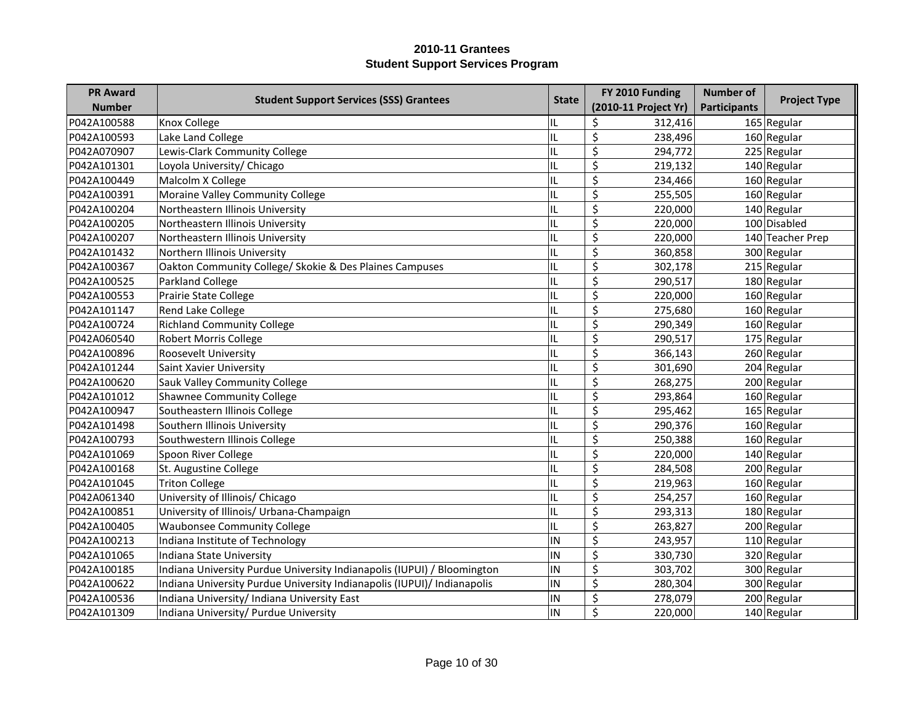| <b>PR Award</b> |                                                                         |              | FY 2010 Funding      | <b>Number of</b>    |                     |
|-----------------|-------------------------------------------------------------------------|--------------|----------------------|---------------------|---------------------|
| <b>Number</b>   | <b>Student Support Services (SSS) Grantees</b>                          | <b>State</b> | (2010-11 Project Yr) | <b>Participants</b> | <b>Project Type</b> |
| P042A100588     | Knox College                                                            | ΊL.          | \$<br>312,416        |                     | 165 Regular         |
| P042A100593     | Lake Land College                                                       | IL           | \$<br>238,496        |                     | 160 Regular         |
| P042A070907     | Lewis-Clark Community College                                           | IL           | \$<br>294,772        |                     | 225 Regular         |
| P042A101301     | Loyola University/ Chicago                                              | IL           | \$<br>219,132        |                     | 140 Regular         |
| P042A100449     | Malcolm X College                                                       | IL           | \$<br>234,466        |                     | 160 Regular         |
| P042A100391     | Moraine Valley Community College                                        | IL           | \$<br>255,505        |                     | 160 Regular         |
| P042A100204     | Northeastern Illinois University                                        | IL           | \$<br>220,000        |                     | 140 Regular         |
| P042A100205     | Northeastern Illinois University                                        | IL           | \$<br>220,000        |                     | 100 Disabled        |
| P042A100207     | Northeastern Illinois University                                        | IL           | \$<br>220,000        |                     | 140 Teacher Prep    |
| P042A101432     | Northern Illinois University                                            | IL           | \$<br>360,858        |                     | 300 Regular         |
| P042A100367     | Oakton Community College/ Skokie & Des Plaines Campuses                 | IL           | \$<br>302,178        |                     | 215 Regular         |
| P042A100525     | Parkland College                                                        | IL           | \$<br>290,517        |                     | 180 Regular         |
| P042A100553     | Prairie State College                                                   | IL           | \$<br>220,000        |                     | 160 Regular         |
| P042A101147     | Rend Lake College                                                       | IL           | \$<br>275,680        |                     | 160 Regular         |
| P042A100724     | <b>Richland Community College</b>                                       | IL           | \$<br>290,349        |                     | 160 Regular         |
| P042A060540     | <b>Robert Morris College</b>                                            | IL           | \$<br>290,517        |                     | 175 Regular         |
| P042A100896     | Roosevelt University                                                    | IL           | \$<br>366,143        |                     | 260 Regular         |
| P042A101244     | Saint Xavier University                                                 | IL           | \$<br>301,690        |                     | 204 Regular         |
| P042A100620     | Sauk Valley Community College                                           | IL           | \$<br>268,275        |                     | 200 Regular         |
| P042A101012     | <b>Shawnee Community College</b>                                        | ΪL.          | \$<br>293,864        |                     | 160 Regular         |
| P042A100947     | Southeastern Illinois College                                           | IL           | \$<br>295,462        |                     | 165 Regular         |
| P042A101498     | Southern Illinois University                                            | IL           | \$<br>290,376        |                     | 160 Regular         |
| P042A100793     | Southwestern Illinois College                                           | IL           | \$<br>250,388        |                     | 160 Regular         |
| P042A101069     | Spoon River College                                                     | IL           | \$<br>220,000        |                     | 140 Regular         |
| P042A100168     | St. Augustine College                                                   | IL           | \$<br>284,508        |                     | 200 Regular         |
| P042A101045     | <b>Triton College</b>                                                   | IL           | \$<br>219,963        |                     | 160 Regular         |
| P042A061340     | University of Illinois/ Chicago                                         | IL           | \$<br>254,257        |                     | 160 Regular         |
| P042A100851     | University of Illinois/ Urbana-Champaign                                | IL           | \$<br>293,313        |                     | 180 Regular         |
| P042A100405     | <b>Waubonsee Community College</b>                                      | IL           | \$<br>263,827        |                     | 200 Regular         |
| P042A100213     | Indiana Institute of Technology                                         | IN           | \$<br>243,957        |                     | 110 Regular         |
| P042A101065     | Indiana State University                                                | IN           | \$<br>330,730        |                     | 320 Regular         |
| P042A100185     | Indiana University Purdue University Indianapolis (IUPUI) / Bloomington | IN           | \$<br>303,702        |                     | 300 Regular         |
| P042A100622     | Indiana University Purdue University Indianapolis (IUPUI)/ Indianapolis | IN           | \$<br>280,304        |                     | 300 Regular         |
| P042A100536     | Indiana University/ Indiana University East                             | IN           | \$<br>278,079        |                     | 200 Regular         |
| P042A101309     | Indiana University/ Purdue University                                   | İN           | \$<br>220,000        |                     | 140 Regular         |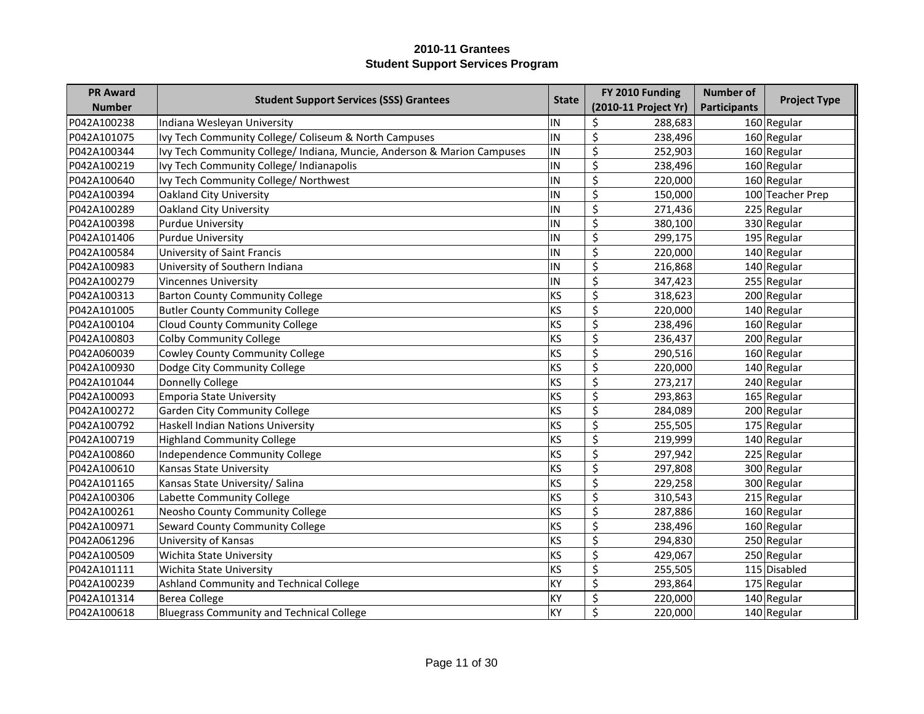| <b>PR Award</b> | <b>Student Support Services (SSS) Grantees</b>                          | <b>State</b> | FY 2010 Funding             | <b>Number of</b>    |                     |
|-----------------|-------------------------------------------------------------------------|--------------|-----------------------------|---------------------|---------------------|
| <b>Number</b>   |                                                                         |              | (2010-11 Project Yr)        | <b>Participants</b> | <b>Project Type</b> |
| P042A100238     | Indiana Wesleyan University                                             | IN           | \$<br>288,683               |                     | 160 Regular         |
| P042A101075     | Ivy Tech Community College/ Coliseum & North Campuses                   | IN           | \$<br>238,496               |                     | 160 Regular         |
| P042A100344     | Ivy Tech Community College/ Indiana, Muncie, Anderson & Marion Campuses | IN           | \$<br>252,903               |                     | 160 Regular         |
| P042A100219     | Ivy Tech Community College/ Indianapolis                                | IN           | \$<br>238,496               |                     | 160 Regular         |
| P042A100640     | Ivy Tech Community College/ Northwest                                   | IN           | \$<br>220,000               |                     | 160 Regular         |
| P042A100394     | Oakland City University                                                 | IN           | \$<br>150,000               |                     | 100 Teacher Prep    |
| P042A100289     | <b>Oakland City University</b>                                          | IN           | \$<br>271,436               |                     | 225 Regular         |
| P042A100398     | Purdue University                                                       | IN           | \$<br>380,100               |                     | 330 Regular         |
| P042A101406     | Purdue University                                                       | IN           | $\overline{\xi}$<br>299,175 |                     | 195 Regular         |
| P042A100584     | University of Saint Francis                                             | IN           | \$<br>220,000               |                     | 140 Regular         |
| P042A100983     | University of Southern Indiana                                          | IN           | \$<br>216,868               |                     | 140 Regular         |
| P042A100279     | Vincennes University                                                    | IN           | \$<br>347,423               |                     | 255 Regular         |
| P042A100313     | <b>Barton County Community College</b>                                  | KS           | \$<br>318,623               |                     | 200 Regular         |
| P042A101005     | <b>Butler County Community College</b>                                  | KS           | \$<br>220,000               |                     | 140 Regular         |
| P042A100104     | Cloud County Community College                                          | KS           | \$<br>238,496               |                     | 160 Regular         |
| P042A100803     | Colby Community College                                                 | KS           | \$<br>236,437               |                     | 200 Regular         |
| P042A060039     | Cowley County Community College                                         | <b>KS</b>    | \$<br>290,516               |                     | 160 Regular         |
| P042A100930     | Dodge City Community College                                            | <b>KS</b>    | \$<br>220,000               |                     | 140 Regular         |
| P042A101044     | Donnelly College                                                        | KS           | \$<br>273,217               |                     | 240 Regular         |
| P042A100093     | <b>Emporia State University</b>                                         | <b>KS</b>    | \$<br>293,863               |                     | 165 Regular         |
| P042A100272     | <b>Garden City Community College</b>                                    | <b>KS</b>    | \$<br>284,089               |                     | 200 Regular         |
| P042A100792     | <b>Haskell Indian Nations University</b>                                | KS           | \$<br>255,505               |                     | 175 Regular         |
| P042A100719     | <b>Highland Community College</b>                                       | KS           | \$<br>219,999               |                     | 140 Regular         |
| P042A100860     | Independence Community College                                          | KS           | \$<br>297,942               |                     | 225 Regular         |
| P042A100610     | Kansas State University                                                 | KS           | \$<br>297,808               |                     | 300 Regular         |
| P042A101165     | Kansas State University/ Salina                                         | KS           | \$<br>229,258               |                     | 300 Regular         |
| P042A100306     | Labette Community College                                               | KS           | \$<br>310,543               |                     | 215 Regular         |
| P042A100261     | Neosho County Community College                                         | KS           | \$<br>287,886               |                     | 160 Regular         |
| P042A100971     | Seward County Community College                                         | KS           | \$<br>238,496               |                     | 160 Regular         |
| P042A061296     | University of Kansas                                                    | KS           | \$<br>294,830               |                     | 250 Regular         |
| P042A100509     | Wichita State University                                                | KS           | \$<br>429,067               |                     | 250 Regular         |
| P042A101111     | Wichita State University                                                | KS           | \$<br>255,505               |                     | 115 Disabled        |
| P042A100239     | Ashland Community and Technical College                                 | KY           | \$<br>293,864               |                     | 175 Regular         |
| P042A101314     | Berea College                                                           | KY           | \$<br>220,000               |                     | $140$ Regular       |
| P042A100618     | <b>Bluegrass Community and Technical College</b>                        | KY           | \$<br>220,000               |                     | 140 Regular         |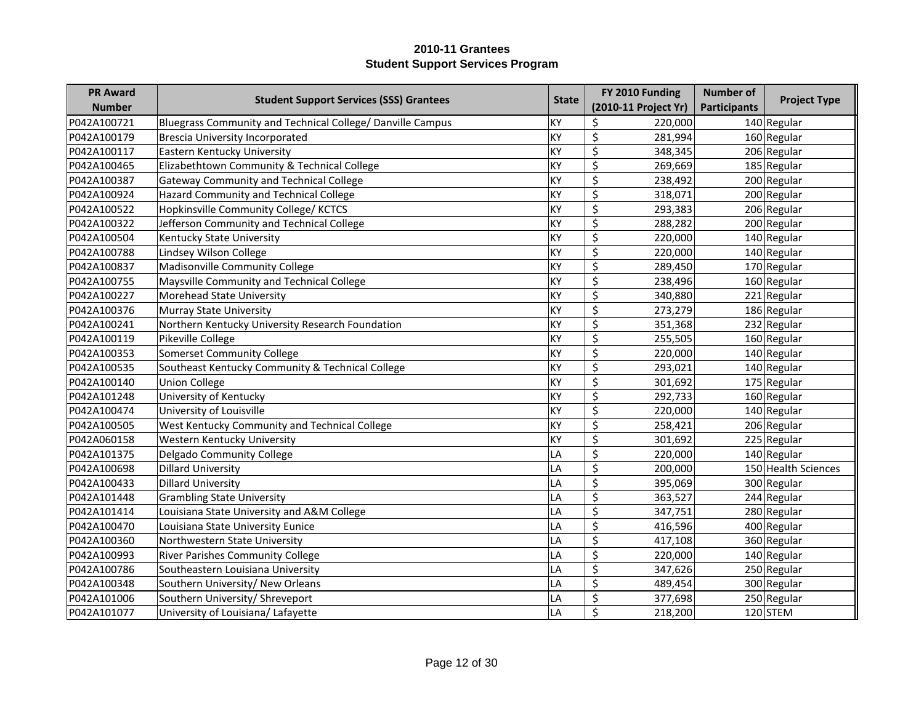| <b>PR Award</b> |                                                            |              | FY 2010 Funding             | <b>Number of</b>    | <b>Project Type</b> |  |
|-----------------|------------------------------------------------------------|--------------|-----------------------------|---------------------|---------------------|--|
| <b>Number</b>   | <b>Student Support Services (SSS) Grantees</b>             | <b>State</b> | (2010-11 Project Yr)        | <b>Participants</b> |                     |  |
| P042A100721     | Bluegrass Community and Technical College/ Danville Campus | KY           | \$<br>220,000               |                     | 140 Regular         |  |
| P042A100179     | Brescia University Incorporated                            | KY           | \$<br>281,994               |                     | 160 Regular         |  |
| P042A100117     | Eastern Kentucky University                                | KY           | \$<br>348,345               |                     | 206 Regular         |  |
| P042A100465     | Elizabethtown Community & Technical College                | KY           | \$<br>269,669               |                     | 185 Regular         |  |
| P042A100387     | Gateway Community and Technical College                    | KY           | $\overline{\xi}$<br>238,492 |                     | 200 Regular         |  |
| P042A100924     | Hazard Community and Technical College                     | KY           | \$<br>318,071               |                     | 200 Regular         |  |
| P042A100522     | Hopkinsville Community College/KCTCS                       | KY           | \$<br>293,383               |                     | 206 Regular         |  |
| P042A100322     | Jefferson Community and Technical College                  | KY           | \$<br>288,282               |                     | 200 Regular         |  |
| P042A100504     | Kentucky State University                                  | KY           | \$<br>220,000               |                     | 140 Regular         |  |
| P042A100788     | Lindsey Wilson College                                     | KY           | \$<br>220,000               |                     | 140 Regular         |  |
| P042A100837     | Madisonville Community College                             | KY           | \$<br>289,450               |                     | 170 Regular         |  |
| P042A100755     | Maysville Community and Technical College                  | KY           | \$<br>238,496               |                     | 160 Regular         |  |
| P042A100227     | Morehead State University                                  | KY           | \$<br>340,880               |                     | 221 Regular         |  |
| P042A100376     | Murray State University                                    | KY           | \$<br>273,279               |                     | 186 Regular         |  |
| P042A100241     | Northern Kentucky University Research Foundation           | KY           | \$<br>351,368               |                     | 232 Regular         |  |
| P042A100119     | Pikeville College                                          | KY           | \$<br>255,505               |                     | 160 Regular         |  |
| P042A100353     | Somerset Community College                                 | KY           | \$<br>220,000               |                     | 140 Regular         |  |
| P042A100535     | Southeast Kentucky Community & Technical College           | KY           | \$<br>293,021               |                     | 140 Regular         |  |
| P042A100140     | <b>Union College</b>                                       | KY           | \$<br>301,692               |                     | 175 Regular         |  |
| P042A101248     | University of Kentucky                                     | KY           | \$<br>292,733               |                     | 160 Regular         |  |
| P042A100474     | University of Louisville                                   | KY           | \$<br>220,000               |                     | 140 Regular         |  |
| P042A100505     | West Kentucky Community and Technical College              | KY           | \$<br>258,421               |                     | 206 Regular         |  |
| P042A060158     | Western Kentucky University                                | KY           | \$<br>301,692               |                     | 225 Regular         |  |
| P042A101375     | Delgado Community College                                  | LA           | \$<br>220,000               |                     | 140 Regular         |  |
| P042A100698     | <b>Dillard University</b>                                  | LA           | \$<br>200,000               |                     | 150 Health Sciences |  |
| P042A100433     | <b>Dillard University</b>                                  | LA           | \$<br>395,069               |                     | 300 Regular         |  |
| P042A101448     | <b>Grambling State University</b>                          | LA           | \$<br>363,527               |                     | 244 Regular         |  |
| P042A101414     | Louisiana State University and A&M College                 | LA           | \$<br>347,751               |                     | 280 Regular         |  |
| P042A100470     | Louisiana State University Eunice                          | LA           | \$<br>416,596               |                     | 400 Regular         |  |
| P042A100360     | Northwestern State University                              | LA           | \$<br>417,108               |                     | 360 Regular         |  |
| P042A100993     | <b>River Parishes Community College</b>                    | LA           | \$<br>220,000               |                     | 140 Regular         |  |
| P042A100786     | Southeastern Louisiana University                          | LA           | \$<br>347,626               |                     | 250 Regular         |  |
| P042A100348     | Southern University/ New Orleans                           | LA           | \$<br>489,454               |                     | 300 Regular         |  |
| P042A101006     | Southern University/ Shreveport                            | LA           | \$<br>377,698               |                     | 250 Regular         |  |
| P042A101077     | University of Louisiana/ Lafayette                         | LA           | \$<br>218,200               |                     | $120$ STEM          |  |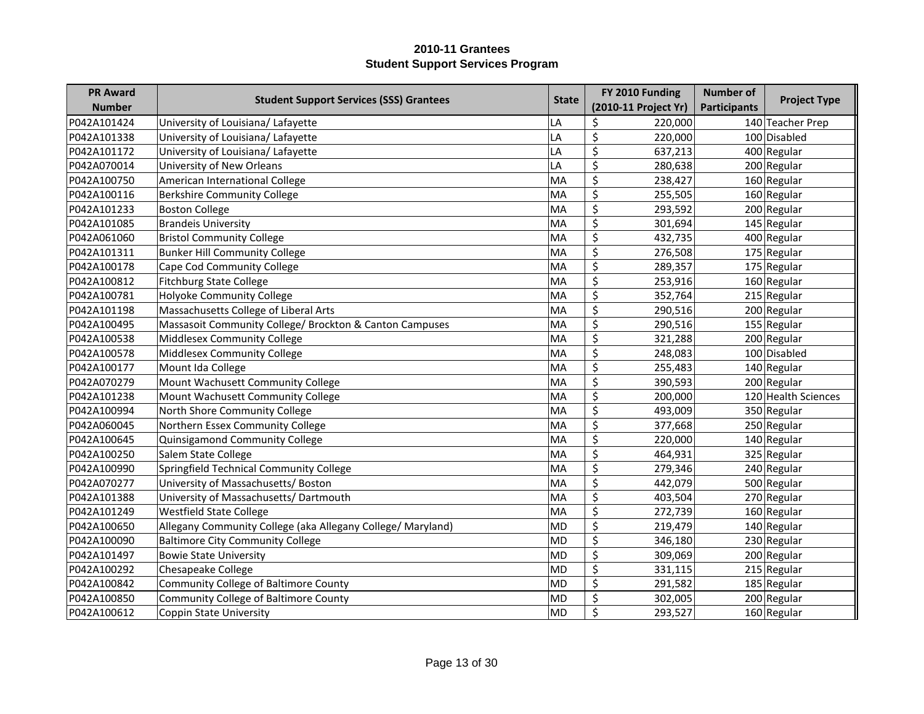| <b>PR Award</b> |                                                             |              | FY 2010 Funding      | <b>Number of</b>    |                     |
|-----------------|-------------------------------------------------------------|--------------|----------------------|---------------------|---------------------|
| <b>Number</b>   | <b>Student Support Services (SSS) Grantees</b>              | <b>State</b> | (2010-11 Project Yr) | <b>Participants</b> | <b>Project Type</b> |
| P042A101424     | University of Louisiana/ Lafayette                          | LA           | \$<br>220,000        |                     | 140 Teacher Prep    |
| P042A101338     | University of Louisiana/ Lafayette                          | LA           | \$<br>220,000        |                     | 100 Disabled        |
| P042A101172     | University of Louisiana/ Lafayette                          | LA           | \$<br>637,213        |                     | 400 Regular         |
| P042A070014     | University of New Orleans                                   | LA           | \$<br>280,638        |                     | 200 Regular         |
| P042A100750     | American International College                              | MA           | \$<br>238,427        |                     | 160 Regular         |
| P042A100116     | Berkshire Community College                                 | MA           | \$<br>255,505        |                     | 160 Regular         |
| P042A101233     | <b>Boston College</b>                                       | MA           | \$<br>293,592        |                     | 200 Regular         |
| P042A101085     | Brandeis University                                         | MA           | \$<br>301,694        |                     | 145 Regular         |
| P042A061060     | Bristol Community College                                   | MA           | \$<br>432,735        |                     | 400 Regular         |
| P042A101311     | Bunker Hill Community College                               | MA           | \$<br>276,508        |                     | 175 Regular         |
| P042A100178     | Cape Cod Community College                                  | MA           | \$<br>289,357        |                     | 175 Regular         |
| P042A100812     | Fitchburg State College                                     | MA           | \$<br>253,916        |                     | 160 Regular         |
| P042A100781     | Holyoke Community College                                   | MA           | \$<br>352,764        |                     | 215 Regular         |
| P042A101198     | Massachusetts College of Liberal Arts                       | MA           | \$<br>290,516        |                     | 200 Regular         |
| P042A100495     | Massasoit Community College/ Brockton & Canton Campuses     | MA           | \$<br>290,516        |                     | 155 Regular         |
| P042A100538     | Middlesex Community College                                 | MA           | \$<br>321,288        |                     | 200 Regular         |
| P042A100578     | Middlesex Community College                                 | MA           | \$<br>248,083        |                     | 100 Disabled        |
| P042A100177     | Mount Ida College                                           | MA           | \$<br>255,483        |                     | 140 Regular         |
| P042A070279     | Mount Wachusett Community College                           | <b>MA</b>    | \$<br>390,593        |                     | 200 Regular         |
| P042A101238     | Mount Wachusett Community College                           | MA           | \$<br>200,000        |                     | 120 Health Sciences |
| P042A100994     | North Shore Community College                               | MA           | \$<br>493,009        |                     | 350 Regular         |
| P042A060045     | Northern Essex Community College                            | MA           | \$<br>377,668        |                     | 250 Regular         |
| P042A100645     | Quinsigamond Community College                              | MA           | \$<br>220,000        |                     | $140$ Regular       |
| P042A100250     | Salem State College                                         | MA           | \$<br>464,931        |                     | 325 Regular         |
| P042A100990     | Springfield Technical Community College                     | MA           | \$<br>279,346        |                     | 240 Regular         |
| P042A070277     | University of Massachusetts/ Boston                         | MA           | \$<br>442,079        |                     | 500 Regular         |
| P042A101388     | University of Massachusetts/ Dartmouth                      | MA           | \$<br>403,504        |                     | 270 Regular         |
| P042A101249     | <b>Westfield State College</b>                              | MA           | \$<br>272,739        |                     | 160 Regular         |
| P042A100650     | Allegany Community College (aka Allegany College/ Maryland) | <b>MD</b>    | \$<br>219,479        |                     | 140 Regular         |
| P042A100090     | <b>Baltimore City Community College</b>                     | <b>MD</b>    | \$<br>346,180        |                     | 230 Regular         |
| P042A101497     | <b>Bowie State University</b>                               | <b>MD</b>    | \$<br>309,069        |                     | 200 Regular         |
| P042A100292     | Chesapeake College                                          | MD           | \$<br>331,115        |                     | 215 Regular         |
| P042A100842     | Community College of Baltimore County                       | MD           | \$<br>291,582        |                     | 185 Regular         |
| P042A100850     | <b>Community College of Baltimore County</b>                | <b>MD</b>    | \$<br>302,005        |                     | 200 Regular         |
| P042A100612     | <b>Coppin State University</b>                              | MD           | \$<br>293,527        |                     | 160 Regular         |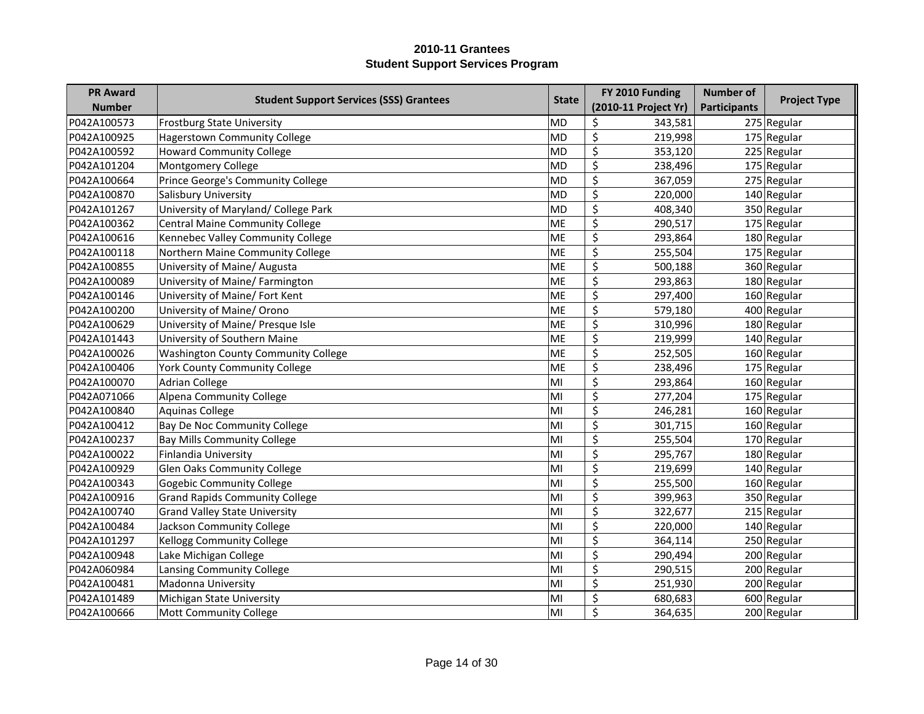| <b>PR Award</b> |                                                |              | FY 2010 Funding             | <b>Number of</b>    |                     |  |
|-----------------|------------------------------------------------|--------------|-----------------------------|---------------------|---------------------|--|
| <b>Number</b>   | <b>Student Support Services (SSS) Grantees</b> | <b>State</b> | (2010-11 Project Yr)        | <b>Participants</b> | <b>Project Type</b> |  |
| P042A100573     | <b>Frostburg State University</b>              | <b>MD</b>    | \$<br>343,581               |                     | 275 Regular         |  |
| P042A100925     | Hagerstown Community College                   | <b>MD</b>    | \$<br>219,998               |                     | 175 Regular         |  |
| P042A100592     | <b>Howard Community College</b>                | <b>MD</b>    | \$<br>353,120               |                     | 225 Regular         |  |
| P042A101204     | Montgomery College                             | <b>MD</b>    | \$<br>238,496               |                     | 175 Regular         |  |
| P042A100664     | Prince George's Community College              | MD           | $\overline{\xi}$<br>367,059 |                     | 275 Regular         |  |
| P042A100870     | Salisbury University                           | MD           | $\overline{\xi}$<br>220,000 |                     | $140$ Regular       |  |
| P042A101267     | University of Maryland/ College Park           | MD           | \$<br>408,340               |                     | 350 Regular         |  |
| P042A100362     | Central Maine Community College                | ME           | \$<br>290,517               |                     | 175 Regular         |  |
| P042A100616     | Kennebec Valley Community College              | ME           | \$<br>293,864               |                     | 180 Regular         |  |
| P042A100118     | Northern Maine Community College               | ME           | \$<br>255,504               |                     | 175 Regular         |  |
| P042A100855     | University of Maine/ Augusta                   | <b>ME</b>    | \$<br>500,188               |                     | 360 Regular         |  |
| P042A100089     | University of Maine/ Farmington                | <b>ME</b>    | \$<br>293,863               |                     | 180 Regular         |  |
| P042A100146     | University of Maine/ Fort Kent                 | ME           | \$<br>297,400               |                     | 160 Regular         |  |
| P042A100200     | University of Maine/ Orono                     | ME           | \$<br>579,180               |                     | 400 Regular         |  |
| P042A100629     | University of Maine/ Presque Isle              | <b>ME</b>    | \$<br>310,996               |                     | 180 Regular         |  |
| P042A101443     | University of Southern Maine                   | <b>ME</b>    | \$<br>219,999               |                     | 140 Regular         |  |
| P042A100026     | <b>Washington County Community College</b>     | <b>ME</b>    | \$<br>252,505               |                     | 160 Regular         |  |
| P042A100406     | <b>York County Community College</b>           | <b>ME</b>    | \$<br>238,496               |                     | 175 Regular         |  |
| P042A100070     | Adrian College                                 | MI           | \$<br>293,864               |                     | 160 Regular         |  |
| P042A071066     | Alpena Community College                       | MI           | \$<br>277,204               |                     | 175 Regular         |  |
| P042A100840     | Aquinas College                                | MI           | \$<br>246,281               |                     | 160 Regular         |  |
| P042A100412     | Bay De Noc Community College                   | MI           | \$<br>301,715               |                     | 160 Regular         |  |
| P042A100237     | <b>Bay Mills Community College</b>             | MI           | \$<br>255,504               |                     | 170 Regular         |  |
| P042A100022     | Finlandia University                           | MI           | \$<br>295,767               |                     | 180 Regular         |  |
| P042A100929     | Glen Oaks Community College                    | MI           | \$<br>219,699               |                     | 140 Regular         |  |
| P042A100343     | <b>Gogebic Community College</b>               | MI           | \$<br>255,500               |                     | 160 Regular         |  |
| P042A100916     | <b>Grand Rapids Community College</b>          | MI           | \$<br>399,963               |                     | 350 Regular         |  |
| P042A100740     | <b>Grand Valley State University</b>           | MI           | \$<br>322,677               |                     | 215 Regular         |  |
| P042A100484     | Jackson Community College                      | MI           | \$<br>220,000               |                     | 140 Regular         |  |
| P042A101297     | <b>Kellogg Community College</b>               | MI           | \$<br>364,114               |                     | 250 Regular         |  |
| P042A100948     | Lake Michigan College                          | MI           | \$<br>290,494               |                     | 200 Regular         |  |
| P042A060984     | Lansing Community College                      | MI           | \$<br>290,515               |                     | 200 Regular         |  |
| P042A100481     | Madonna University                             | MI           | \$<br>251,930               |                     | 200 Regular         |  |
| P042A101489     | Michigan State University                      | MI           | \$<br>680,683               |                     | 600 Regular         |  |
| P042A100666     | Mott Community College                         | MI           | \$<br>364,635               |                     | 200 Regular         |  |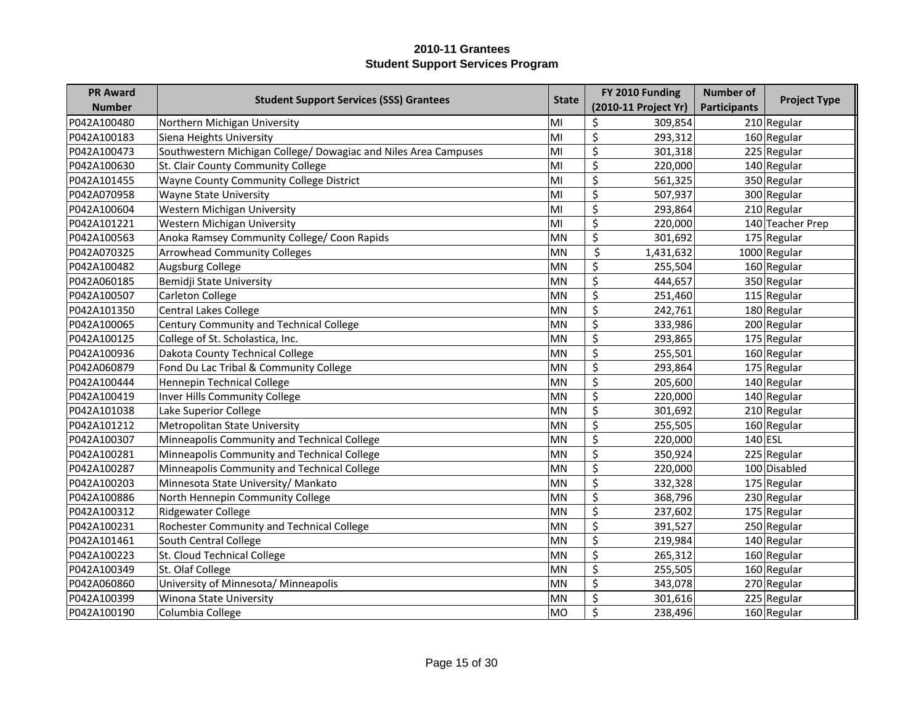| <b>PR Award</b> | <b>Student Support Services (SSS) Grantees</b>                  |              | FY 2010 Funding             | <b>Number of</b>    |                     |
|-----------------|-----------------------------------------------------------------|--------------|-----------------------------|---------------------|---------------------|
| <b>Number</b>   |                                                                 | <b>State</b> | (2010-11 Project Yr)        | <b>Participants</b> | <b>Project Type</b> |
| P042A100480     | Northern Michigan University                                    | MI           | \$<br>309,854               |                     | 210 Regular         |
| P042A100183     | Siena Heights University                                        | MI           | \$<br>293,312               |                     | 160 Regular         |
| P042A100473     | Southwestern Michigan College/ Dowagiac and Niles Area Campuses | MI           | \$<br>301,318               |                     | 225 Regular         |
| P042A100630     | St. Clair County Community College                              | MI           | \$<br>220,000               |                     | $140$ Regular       |
| P042A101455     | Wayne County Community College District                         | MI           | \$<br>561,325               |                     | 350 Regular         |
| P042A070958     | <b>Wayne State University</b>                                   | MI           | \$<br>507,937               |                     | 300 Regular         |
| P042A100604     | Western Michigan University                                     | MI           | \$<br>293,864               |                     | 210 Regular         |
| P042A101221     | Western Michigan University                                     | MI           | $\overline{\xi}$<br>220,000 |                     | 140 Teacher Prep    |
| P042A100563     | Anoka Ramsey Community College/ Coon Rapids                     | MN           | $\overline{\xi}$<br>301,692 |                     | 175 Regular         |
| P042A070325     | <b>Arrowhead Community Colleges</b>                             | <b>MN</b>    | \$<br>1,431,632             |                     | 1000 Regular        |
| P042A100482     | Augsburg College                                                | <b>MN</b>    | \$<br>255,504               |                     | 160 Regular         |
| P042A060185     | Bemidji State University                                        | <b>MN</b>    | \$<br>444,657               |                     | 350 Regular         |
| P042A100507     | Carleton College                                                | <b>MN</b>    | \$<br>251,460               |                     | 115 Regular         |
| P042A101350     | Central Lakes College                                           | <b>MN</b>    | \$<br>242,761               |                     | 180 Regular         |
| P042A100065     | Century Community and Technical College                         | <b>MN</b>    | \$<br>333,986               |                     | 200 Regular         |
| P042A100125     | College of St. Scholastica, Inc.                                | MN           | \$<br>293,865               |                     | 175 Regular         |
| P042A100936     | Dakota County Technical College                                 | <b>MN</b>    | \$<br>255,501               |                     | 160 Regular         |
| P042A060879     | Fond Du Lac Tribal & Community College                          | <b>MN</b>    | \$<br>293,864               |                     | 175 Regular         |
| P042A100444     | Hennepin Technical College                                      | <b>MN</b>    | \$<br>205,600               |                     | 140 Regular         |
| P042A100419     | Inver Hills Community College                                   | <b>MN</b>    | \$<br>220,000               |                     | 140 Regular         |
| P042A101038     | Lake Superior College                                           | <b>MN</b>    | \$<br>301,692               |                     | 210 Regular         |
| P042A101212     | Metropolitan State University                                   | <b>MN</b>    | \$<br>255,505               |                     | 160 Regular         |
| P042A100307     | Minneapolis Community and Technical College                     | <b>MN</b>    | \$<br>220,000               | $140$ ESL           |                     |
| P042A100281     | Minneapolis Community and Technical College                     | <b>MN</b>    | \$<br>350,924               |                     | 225 Regular         |
| P042A100287     | Minneapolis Community and Technical College                     | <b>MN</b>    | \$<br>220,000               |                     | 100 Disabled        |
| P042A100203     | Minnesota State University/ Mankato                             | <b>MN</b>    | \$<br>332,328               |                     | 175 Regular         |
| P042A100886     | North Hennepin Community College                                | <b>MN</b>    | \$<br>368,796               |                     | 230 Regular         |
| P042A100312     | Ridgewater College                                              | <b>MN</b>    | \$<br>237,602               |                     | 175 Regular         |
| P042A100231     | Rochester Community and Technical College                       | <b>MN</b>    | \$<br>391,527               |                     | 250 Regular         |
| P042A101461     | South Central College                                           | <b>MN</b>    | \$<br>219,984               |                     | 140 Regular         |
| P042A100223     | St. Cloud Technical College                                     | <b>MN</b>    | \$<br>265,312               |                     | 160 Regular         |
| P042A100349     | St. Olaf College                                                | <b>MN</b>    | \$<br>255,505               |                     | 160 Regular         |
| P042A060860     | University of Minnesota/ Minneapolis                            | MN           | \$<br>343,078               |                     | 270 Regular         |
| P042A100399     | Winona State University                                         | <b>MN</b>    | \$<br>301,616               |                     | 225 Regular         |
| P042A100190     | Columbia College                                                | MO           | \$<br>238,496               |                     | 160 Regular         |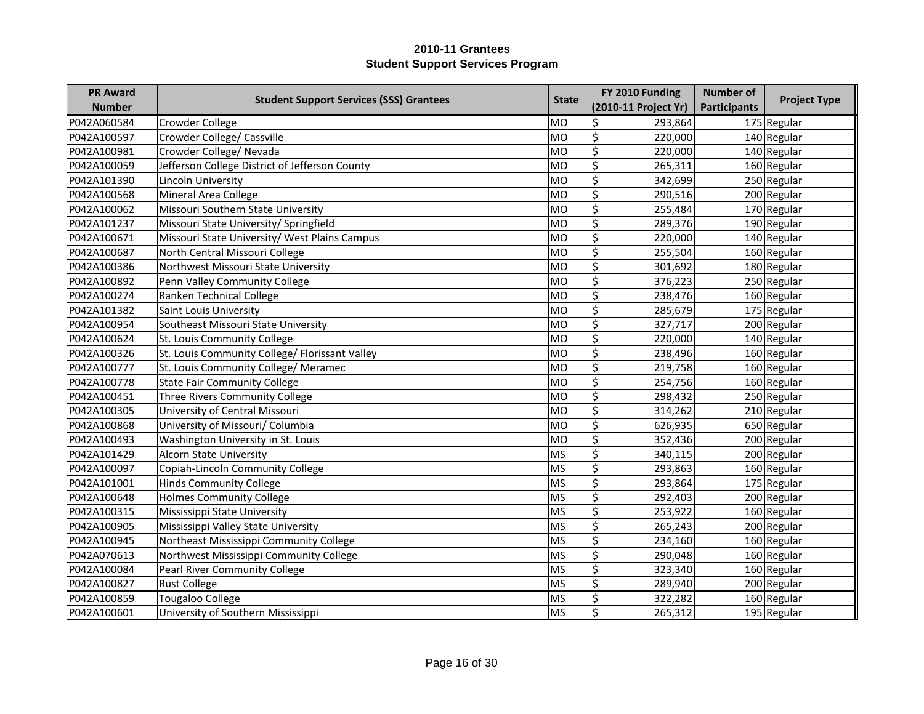| <b>PR Award</b> |                                                |              | FY 2010 Funding             | <b>Number of</b>    | <b>Project Type</b> |  |
|-----------------|------------------------------------------------|--------------|-----------------------------|---------------------|---------------------|--|
| <b>Number</b>   | <b>Student Support Services (SSS) Grantees</b> | <b>State</b> | (2010-11 Project Yr)        | <b>Participants</b> |                     |  |
| P042A060584     | Crowder College                                | <b>MO</b>    | \$<br>293,864               |                     | 175 Regular         |  |
| P042A100597     | Crowder College/ Cassville                     | <b>MO</b>    | \$<br>220,000               |                     | 140 Regular         |  |
| P042A100981     | Crowder College/Nevada                         | <b>MO</b>    | \$<br>220,000               |                     | $140$ Regular       |  |
| P042A100059     | Jefferson College District of Jefferson County | <b>MO</b>    | \$<br>265,311               |                     | 160 Regular         |  |
| P042A101390     | Lincoln University                             | <b>MO</b>    | $\overline{\xi}$<br>342,699 |                     | 250 Regular         |  |
| P042A100568     | Mineral Area College                           | MO           | \$<br>290,516               |                     | 200 Regular         |  |
| P042A100062     | Missouri Southern State University             | MO           | \$<br>255,484               |                     | 170 Regular         |  |
| P042A101237     | Missouri State University/ Springfield         | <b>MO</b>    | \$<br>289,376               |                     | 190 Regular         |  |
| P042A100671     | Missouri State University/ West Plains Campus  | MO           | \$<br>220,000               |                     | 140 Regular         |  |
| P042A100687     | North Central Missouri College                 | <b>MO</b>    | \$<br>255,504               |                     | 160 Regular         |  |
| P042A100386     | Northwest Missouri State University            | <b>MO</b>    | \$<br>301,692               |                     | 180 Regular         |  |
| P042A100892     | Penn Valley Community College                  | <b>MO</b>    | \$<br>376,223               |                     | 250 Regular         |  |
| P042A100274     | Ranken Technical College                       | <b>MO</b>    | \$<br>238,476               |                     | 160 Regular         |  |
| P042A101382     | Saint Louis University                         | <b>MO</b>    | \$<br>285,679               |                     | 175 Regular         |  |
| P042A100954     | Southeast Missouri State University            | <b>MO</b>    | \$<br>327,717               |                     | 200 Regular         |  |
| P042A100624     | St. Louis Community College                    | <b>MO</b>    | \$<br>220,000               |                     | 140 Regular         |  |
| P042A100326     | St. Louis Community College/ Florissant Valley | <b>MO</b>    | \$<br>238,496               |                     | 160 Regular         |  |
| P042A100777     | St. Louis Community College/ Meramec           | <b>MO</b>    | \$<br>219,758               |                     | 160 Regular         |  |
| P042A100778     | <b>State Fair Community College</b>            | <b>MO</b>    | \$<br>254,756               |                     | 160 Regular         |  |
| P042A100451     | Three Rivers Community College                 | <b>MO</b>    | \$<br>298,432               |                     | 250 Regular         |  |
| P042A100305     | University of Central Missouri                 | <b>MO</b>    | \$<br>314,262               |                     | $210$ Regular       |  |
| P042A100868     | University of Missouri/ Columbia               | <b>MO</b>    | \$<br>626,935               |                     | 650 Regular         |  |
| P042A100493     | Washington University in St. Louis             | <b>MO</b>    | \$<br>352,436               |                     | 200 Regular         |  |
| P042A101429     | Alcorn State University                        | <b>MS</b>    | \$<br>340,115               |                     | 200 Regular         |  |
| P042A100097     | Copiah-Lincoln Community College               | <b>MS</b>    | \$<br>293,863               |                     | 160 Regular         |  |
| P042A101001     | Hinds Community College                        | <b>MS</b>    | \$<br>293,864               |                     | 175 Regular         |  |
| P042A100648     | <b>Holmes Community College</b>                | <b>MS</b>    | \$<br>292,403               |                     | 200 Regular         |  |
| P042A100315     | Mississippi State University                   | <b>MS</b>    | \$<br>253,922               |                     | 160 Regular         |  |
| P042A100905     | Mississippi Valley State University            | <b>MS</b>    | \$<br>265,243               |                     | 200 Regular         |  |
| P042A100945     | Northeast Mississippi Community College        | <b>MS</b>    | \$<br>234,160               |                     | 160 Regular         |  |
| P042A070613     | Northwest Mississippi Community College        | <b>MS</b>    | \$<br>290,048               |                     | 160 Regular         |  |
| P042A100084     | Pearl River Community College                  | <b>MS</b>    | \$<br>323,340               |                     | 160 Regular         |  |
| P042A100827     | <b>Rust College</b>                            | <b>MS</b>    | \$<br>289,940               |                     | 200 Regular         |  |
| P042A100859     | <b>Tougaloo College</b>                        | <b>MS</b>    | \$<br>322,282               |                     | 160 Regular         |  |
| P042A100601     | University of Southern Mississippi             | MS           | \$<br>265,312               |                     | 195 Regular         |  |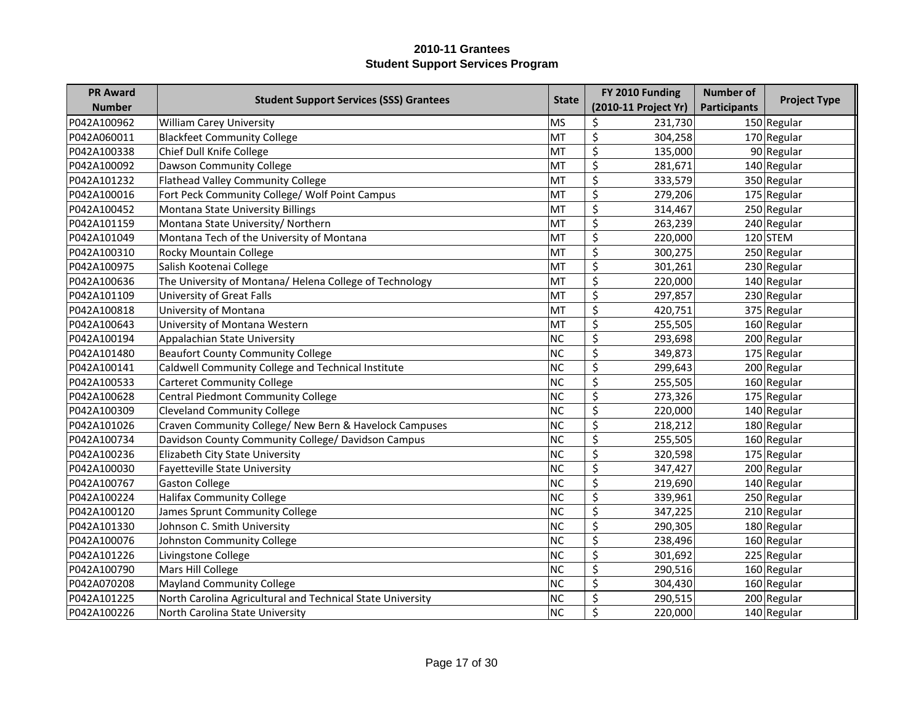| <b>PR Award</b> |                                                            |              | FY 2010 Funding             | <b>Number of</b>    |                     |
|-----------------|------------------------------------------------------------|--------------|-----------------------------|---------------------|---------------------|
| <b>Number</b>   | <b>Student Support Services (SSS) Grantees</b>             | <b>State</b> | (2010-11 Project Yr)        | <b>Participants</b> | <b>Project Type</b> |
| P042A100962     | <b>William Carey University</b>                            | <b>MS</b>    | \$<br>231,730               |                     | 150 Regular         |
| P042A060011     | <b>Blackfeet Community College</b>                         | MT           | \$<br>304,258               |                     | 170 Regular         |
| P042A100338     | Chief Dull Knife College                                   | MT           | \$<br>135,000               |                     | 90 Regular          |
| P042A100092     | Dawson Community College                                   | MT           | \$<br>281,671               |                     | $140$ Regular       |
| P042A101232     | Flathead Valley Community College                          | MT           | $\overline{\xi}$<br>333,579 |                     | 350 Regular         |
| P042A100016     | Fort Peck Community College/ Wolf Point Campus             | MT           | $\overline{\xi}$<br>279,206 |                     | 175 Regular         |
| P042A100452     | Montana State University Billings                          | MT           | \$<br>314,467               |                     | 250 Regular         |
| P042A101159     | Montana State University/ Northern                         | MT           | \$<br>263,239               |                     | 240 Regular         |
| P042A101049     | Montana Tech of the University of Montana                  | MT           | \$<br>220,000               |                     | $120$ STEM          |
| P042A100310     | <b>Rocky Mountain College</b>                              | MT           | \$<br>300,275               |                     | 250 Regular         |
| P042A100975     | Salish Kootenai College                                    | MT           | \$<br>301,261               |                     | 230 Regular         |
| P042A100636     | The University of Montana/ Helena College of Technology    | MT           | \$<br>220,000               |                     | $140$ Regular       |
| P042A101109     | <b>University of Great Falls</b>                           | MT           | \$<br>297,857               |                     | 230 Regular         |
| P042A100818     | University of Montana                                      | MT           | \$<br>420,751               |                     | 375 Regular         |
| P042A100643     | University of Montana Western                              | MT           | \$<br>255,505               |                     | 160 Regular         |
| P042A100194     | Appalachian State University                               | <b>NC</b>    | \$<br>293,698               |                     | 200 Regular         |
| P042A101480     | <b>Beaufort County Community College</b>                   | <b>NC</b>    | \$<br>349,873               |                     | 175 Regular         |
| P042A100141     | Caldwell Community College and Technical Institute         | <b>NC</b>    | \$<br>299,643               |                     | 200 Regular         |
| P042A100533     | <b>Carteret Community College</b>                          | <b>NC</b>    | \$<br>255,505               |                     | 160 Regular         |
| P042A100628     | <b>Central Piedmont Community College</b>                  | <b>NC</b>    | \$<br>273,326               |                     | 175 Regular         |
| P042A100309     | <b>Cleveland Community College</b>                         | <b>NC</b>    | \$<br>220,000               |                     | 140 Regular         |
| P042A101026     | Craven Community College/ New Bern & Havelock Campuses     | <b>NC</b>    | \$<br>218,212               |                     | 180 Regular         |
| P042A100734     | Davidson County Community College/ Davidson Campus         | <b>NC</b>    | \$<br>255,505               |                     | 160 Regular         |
| P042A100236     | Elizabeth City State University                            | <b>NC</b>    | \$<br>320,598               |                     | 175 Regular         |
| P042A100030     | <b>Fayetteville State University</b>                       | <b>NC</b>    | \$<br>347,427               |                     | 200 Regular         |
| P042A100767     | <b>Gaston College</b>                                      | <b>NC</b>    | \$<br>219,690               |                     | $140$ Regular       |
| P042A100224     | <b>Halifax Community College</b>                           | <b>NC</b>    | \$<br>339,961               |                     | 250 Regular         |
| P042A100120     | James Sprunt Community College                             | <b>NC</b>    | \$<br>347,225               |                     | $210$ Regular       |
| P042A101330     | Johnson C. Smith University                                | <b>NC</b>    | \$<br>290,305               |                     | 180 Regular         |
| P042A100076     | Johnston Community College                                 | <b>NC</b>    | \$<br>238,496               |                     | 160 Regular         |
| P042A101226     | Livingstone College                                        | <b>NC</b>    | \$<br>301,692               |                     | 225 Regular         |
| P042A100790     | Mars Hill College                                          | <b>NC</b>    | \$<br>290,516               |                     | 160 Regular         |
| P042A070208     | Mayland Community College                                  | <b>NC</b>    | \$<br>304,430               |                     | 160 Regular         |
| P042A101225     | North Carolina Agricultural and Technical State University | NC           | \$<br>290,515               |                     | 200 Regular         |
| P042A100226     | North Carolina State University                            | NC           | $\zeta$<br>220,000          |                     | 140 Regular         |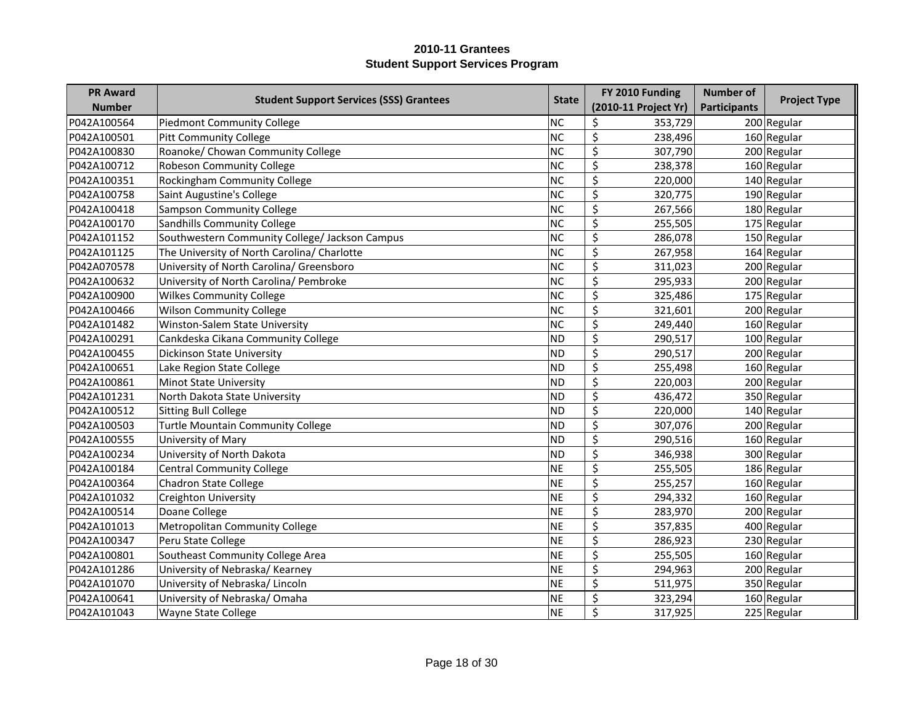| <b>PR Award</b> |                                                |              | FY 2010 Funding             | <b>Number of</b>    |                     |
|-----------------|------------------------------------------------|--------------|-----------------------------|---------------------|---------------------|
| <b>Number</b>   | <b>Student Support Services (SSS) Grantees</b> | <b>State</b> | (2010-11 Project Yr)        | <b>Participants</b> | <b>Project Type</b> |
| P042A100564     | Piedmont Community College                     | NC           | \$<br>353,729               |                     | 200 Regular         |
| P042A100501     | Pitt Community College                         | <b>NC</b>    | \$<br>238,496               |                     | 160 Regular         |
| P042A100830     | Roanoke/ Chowan Community College              | <b>NC</b>    | \$<br>307,790               |                     | 200 Regular         |
| P042A100712     | Robeson Community College                      | <b>NC</b>    | \$<br>238,378               |                     | 160 Regular         |
| P042A100351     | Rockingham Community College                   | <b>NC</b>    | $\overline{\xi}$<br>220,000 |                     | $140$ Regular       |
| P042A100758     | Saint Augustine's College                      | NC           | $\overline{\xi}$<br>320,775 |                     | 190 Regular         |
| P042A100418     | Sampson Community College                      | NC           | \$<br>267,566               |                     | 180 Regular         |
| P042A100170     | Sandhills Community College                    | NC           | $\overline{\xi}$<br>255,505 |                     | 175 Regular         |
| P042A101152     | Southwestern Community College/ Jackson Campus | NC           | \$<br>286,078               |                     | 150 Regular         |
| P042A101125     | The University of North Carolina/ Charlotte    | <b>NC</b>    | \$<br>267,958               |                     | $164$ Regular       |
| P042A070578     | University of North Carolina/ Greensboro       | <b>NC</b>    | \$<br>311,023               |                     | 200 Regular         |
| P042A100632     | University of North Carolina/ Pembroke         | <b>NC</b>    | \$<br>295,933               |                     | 200 Regular         |
| P042A100900     | <b>Wilkes Community College</b>                | <b>NC</b>    | \$<br>325,486               |                     | 175 Regular         |
| P042A100466     | <b>Wilson Community College</b>                | <b>NC</b>    | \$<br>321,601               |                     | 200 Regular         |
| P042A101482     | Winston-Salem State University                 | <b>NC</b>    | \$<br>249,440               |                     | 160 Regular         |
| P042A100291     | Cankdeska Cikana Community College             | <b>ND</b>    | \$<br>290,517               |                     | 100 Regular         |
| P042A100455     | Dickinson State University                     | <b>ND</b>    | \$<br>290,517               |                     | 200 Regular         |
| P042A100651     | Lake Region State College                      | <b>ND</b>    | \$<br>255,498               |                     | 160 Regular         |
| P042A100861     | Minot State University                         | <b>ND</b>    | \$<br>220,003               |                     | 200 Regular         |
| P042A101231     | North Dakota State University                  | <b>ND</b>    | \$<br>436,472               |                     | 350 Regular         |
| P042A100512     | Sitting Bull College                           | <b>ND</b>    | \$<br>220,000               |                     | 140 Regular         |
| P042A100503     | Turtle Mountain Community College              | <b>ND</b>    | \$<br>307,076               |                     | 200 Regular         |
| P042A100555     | University of Mary                             | <b>ND</b>    | $\overline{\xi}$<br>290,516 |                     | 160 Regular         |
| P042A100234     | University of North Dakota                     | <b>ND</b>    | \$<br>346,938               |                     | 300 Regular         |
| P042A100184     | Central Community College                      | <b>NE</b>    | \$<br>255,505               |                     | 186 Regular         |
| P042A100364     | Chadron State College                          | <b>NE</b>    | \$<br>255,257               |                     | 160 Regular         |
| P042A101032     | Creighton University                           | <b>NE</b>    | \$<br>294,332               |                     | 160 Regular         |
| P042A100514     | Doane College                                  | <b>NE</b>    | \$<br>283,970               |                     | 200 Regular         |
| P042A101013     | Metropolitan Community College                 | <b>NE</b>    | \$<br>357,835               |                     | 400 Regular         |
| P042A100347     | Peru State College                             | <b>NE</b>    | \$<br>286,923               |                     | 230 Regular         |
| P042A100801     | Southeast Community College Area               | <b>NE</b>    | \$<br>255,505               |                     | 160 Regular         |
| P042A101286     | University of Nebraska/ Kearney                | <b>NE</b>    | $\overline{\xi}$<br>294,963 |                     | 200 Regular         |
| P042A101070     | University of Nebraska/ Lincoln                | NE           | \$<br>511,975               |                     | 350 Regular         |
| P042A100641     | University of Nebraska/Omaha                   | NE           | \$<br>323,294               |                     | 160 Regular         |
| P042A101043     | Wayne State College                            | <b>NE</b>    | $\zeta$<br>317,925          |                     | 225 Regular         |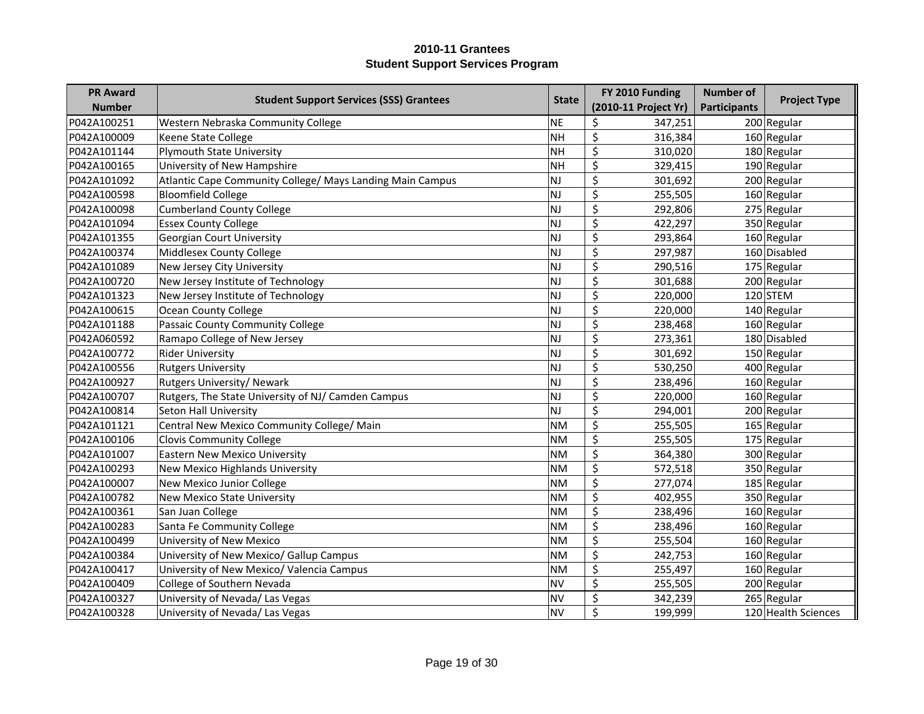| <b>PR Award</b> |                                                           |              | FY 2010 Funding             | <b>Number of</b>    |                     |
|-----------------|-----------------------------------------------------------|--------------|-----------------------------|---------------------|---------------------|
| <b>Number</b>   | <b>Student Support Services (SSS) Grantees</b>            | <b>State</b> | (2010-11 Project Yr)        | <b>Participants</b> | <b>Project Type</b> |
| P042A100251     | Western Nebraska Community College                        | <b>NE</b>    | \$<br>347,251               |                     | 200 Regular         |
| P042A100009     | Keene State College                                       | <b>NH</b>    | \$<br>316,384               |                     | 160 Regular         |
| P042A101144     | Plymouth State University                                 | <b>NH</b>    | \$<br>310,020               |                     | 180 Regular         |
| P042A100165     | University of New Hampshire                               | <b>NH</b>    | \$<br>329,415               |                     | 190 Regular         |
| P042A101092     | Atlantic Cape Community College/ Mays Landing Main Campus | NJ           | $\overline{\xi}$<br>301,692 |                     | 200 Regular         |
| P042A100598     | <b>Bloomfield College</b>                                 | NJ           | \$<br>255,505               |                     | 160 Regular         |
| P042A100098     | Cumberland County College                                 | NJ           | \$<br>292,806               |                     | 275 Regular         |
| P042A101094     | <b>Essex County College</b>                               | NJ           | \$<br>422,297               |                     | 350 Regular         |
| P042A101355     | Georgian Court University                                 | NJ           | \$<br>293,864               |                     | 160 Regular         |
| P042A100374     | Middlesex County College                                  | NJ           | \$<br>297,987               |                     | 160 Disabled        |
| P042A101089     | New Jersey City University                                | NJ           | \$<br>290,516               |                     | 175 Regular         |
| P042A100720     | New Jersey Institute of Technology                        | NJ           | \$<br>301,688               |                     | 200 Regular         |
| P042A101323     | New Jersey Institute of Technology                        | NJ           | \$<br>220,000               |                     | $120$ STEM          |
| P042A100615     | Ocean County College                                      | NJ           | \$<br>220,000               |                     | 140 Regular         |
| P042A101188     | Passaic County Community College                          | <b>NJ</b>    | \$<br>238,468               |                     | 160 Regular         |
| P042A060592     | Ramapo College of New Jersey                              | <b>NJ</b>    | \$<br>273,361               |                     | 180 Disabled        |
| P042A100772     | <b>Rider University</b>                                   | <b>NJ</b>    | \$<br>301,692               |                     | 150 Regular         |
| P042A100556     | <b>Rutgers University</b>                                 | <b>NJ</b>    | \$<br>530,250               |                     | 400 Regular         |
| P042A100927     | <b>Rutgers University/ Newark</b>                         | <b>NJ</b>    | \$<br>238,496               |                     | 160 Regular         |
| P042A100707     | Rutgers, The State University of NJ/ Camden Campus        | <b>NJ</b>    | \$<br>220,000               |                     | 160 Regular         |
| P042A100814     | Seton Hall University                                     | NJ           | \$<br>294,001               |                     | 200 Regular         |
| P042A101121     | Central New Mexico Community College/ Main                | <b>NM</b>    | \$<br>255,505               |                     | 165 Regular         |
| P042A100106     | <b>Clovis Community College</b>                           | <b>NM</b>    | \$<br>255,505               |                     | 175 Regular         |
| P042A101007     | Eastern New Mexico University                             | <b>NM</b>    | \$<br>364,380               |                     | 300 Regular         |
| P042A100293     | New Mexico Highlands University                           | <b>NM</b>    | \$<br>572,518               |                     | 350 Regular         |
| P042A100007     | New Mexico Junior College                                 | <b>NM</b>    | \$<br>277,074               |                     | 185 Regular         |
| P042A100782     | New Mexico State University                               | <b>NM</b>    | \$<br>402,955               |                     | 350 Regular         |
| P042A100361     | San Juan College                                          | <b>NM</b>    | \$<br>238,496               |                     | 160 Regular         |
| P042A100283     | Santa Fe Community College                                | <b>NM</b>    | \$<br>238,496               |                     | 160 Regular         |
| P042A100499     | University of New Mexico                                  | <b>NM</b>    | \$<br>255,504               |                     | 160 Regular         |
| P042A100384     | University of New Mexico/ Gallup Campus                   | <b>NM</b>    | \$<br>242,753               |                     | 160 Regular         |
| P042A100417     | University of New Mexico/ Valencia Campus                 | <b>NM</b>    | \$<br>255,497               |                     | 160 Regular         |
| P042A100409     | College of Southern Nevada                                | <b>NV</b>    | \$<br>255,505               |                     | 200 Regular         |
| P042A100327     | University of Nevada/ Las Vegas                           | <b>NV</b>    | \$<br>342,239               |                     | 265 Regular         |
| P042A100328     | University of Nevada/ Las Vegas                           | <b>NV</b>    | \$<br>199,999               |                     | 120 Health Sciences |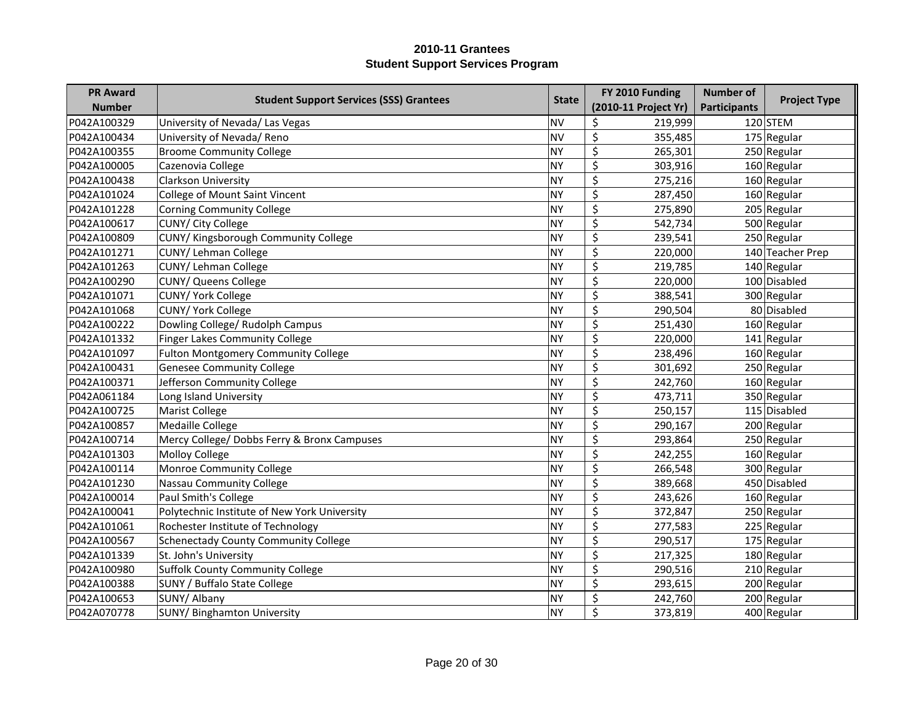| <b>PR Award</b> |                                                |              | FY 2010 Funding             | <b>Number of</b>    |                     |
|-----------------|------------------------------------------------|--------------|-----------------------------|---------------------|---------------------|
| <b>Number</b>   | <b>Student Support Services (SSS) Grantees</b> | <b>State</b> | (2010-11 Project Yr)        | <b>Participants</b> | <b>Project Type</b> |
| P042A100329     | University of Nevada/ Las Vegas                | <b>NV</b>    | \$<br>219,999               |                     | $120$ STEM          |
| P042A100434     | University of Nevada/ Reno                     | <b>NV</b>    | \$<br>355,485               |                     | 175 Regular         |
| P042A100355     | <b>Broome Community College</b>                | <b>NY</b>    | \$<br>265,301               |                     | 250 Regular         |
| P042A100005     | Cazenovia College                              | <b>NY</b>    | \$<br>303,916               |                     | 160 Regular         |
| P042A100438     | Clarkson University                            | NY           | $\overline{\xi}$<br>275,216 |                     | 160 Regular         |
| P042A101024     | College of Mount Saint Vincent                 | NY           | \$<br>287,450               |                     | $160$ Regular       |
| P042A101228     | Corning Community College                      | NY           | \$<br>275,890               |                     | 205 Regular         |
| P042A100617     | CUNY/ City College                             | <b>NY</b>    | \$<br>542,734               |                     | 500 Regular         |
| P042A100809     | CUNY/ Kingsborough Community College           | <b>NY</b>    | \$<br>239,541               |                     | 250 Regular         |
| P042A101271     | CUNY/ Lehman College                           | <b>NY</b>    | \$<br>220,000               |                     | 140 Teacher Prep    |
| P042A101263     | CUNY/ Lehman College                           | <b>NY</b>    | \$<br>219,785               |                     | 140 Regular         |
| P042A100290     | <b>CUNY/ Queens College</b>                    | <b>NY</b>    | \$<br>220,000               |                     | 100 Disabled        |
| P042A101071     | CUNY/ York College                             | <b>NY</b>    | \$<br>388,541               |                     | 300 Regular         |
| P042A101068     | CUNY/ York College                             | <b>NY</b>    | \$<br>290,504               |                     | 80 Disabled         |
| P042A100222     | Dowling College/ Rudolph Campus                | <b>NY</b>    | \$<br>251,430               |                     | 160 Regular         |
| P042A101332     | Finger Lakes Community College                 | <b>NY</b>    | \$<br>220,000               |                     | 141 Regular         |
| P042A101097     | Fulton Montgomery Community College            | <b>NY</b>    | \$<br>238,496               |                     | 160 Regular         |
| P042A100431     | <b>Genesee Community College</b>               | <b>NY</b>    | \$<br>301,692               |                     | 250 Regular         |
| P042A100371     | Jefferson Community College                    | <b>NY</b>    | \$<br>242,760               |                     | 160 Regular         |
| P042A061184     | Long Island University                         | <b>NY</b>    | \$<br>473,711               |                     | 350 Regular         |
| P042A100725     | Marist College                                 | <b>NY</b>    | \$<br>250,157               |                     | 115 Disabled        |
| P042A100857     | Medaille College                               | <b>NY</b>    | \$<br>290,167               |                     | 200 Regular         |
| P042A100714     | Mercy College/ Dobbs Ferry & Bronx Campuses    | <b>NY</b>    | \$<br>293,864               |                     | 250 Regular         |
| P042A101303     | Molloy College                                 | <b>NY</b>    | \$<br>242,255               |                     | 160 Regular         |
| P042A100114     | Monroe Community College                       | <b>NY</b>    | \$<br>266,548               |                     | 300 Regular         |
| P042A101230     | Nassau Community College                       | <b>NY</b>    | \$<br>389,668               |                     | 450 Disabled        |
| P042A100014     | Paul Smith's College                           | <b>NY</b>    | \$<br>243,626               |                     | 160 Regular         |
| P042A100041     | Polytechnic Institute of New York University   | <b>NY</b>    | \$<br>372,847               |                     | 250 Regular         |
| P042A101061     | Rochester Institute of Technology              | <b>NY</b>    | \$<br>277,583               |                     | 225 Regular         |
| P042A100567     | Schenectady County Community College           | <b>NY</b>    | \$<br>290,517               |                     | 175 Regular         |
| P042A101339     | St. John's University                          | <b>NY</b>    | \$<br>217,325               |                     | 180 Regular         |
| P042A100980     | Suffolk County Community College               | NY           | \$<br>290,516               |                     | 210 Regular         |
| P042A100388     | SUNY / Buffalo State College                   | NY           | \$<br>293,615               |                     | 200 Regular         |
| P042A100653     | SUNY/Albany                                    | <b>NY</b>    | \$<br>242,760               |                     | 200 Regular         |
| P042A070778     | <b>SUNY/ Binghamton University</b>             | NY           | \$<br>373,819               |                     | 400 Regular         |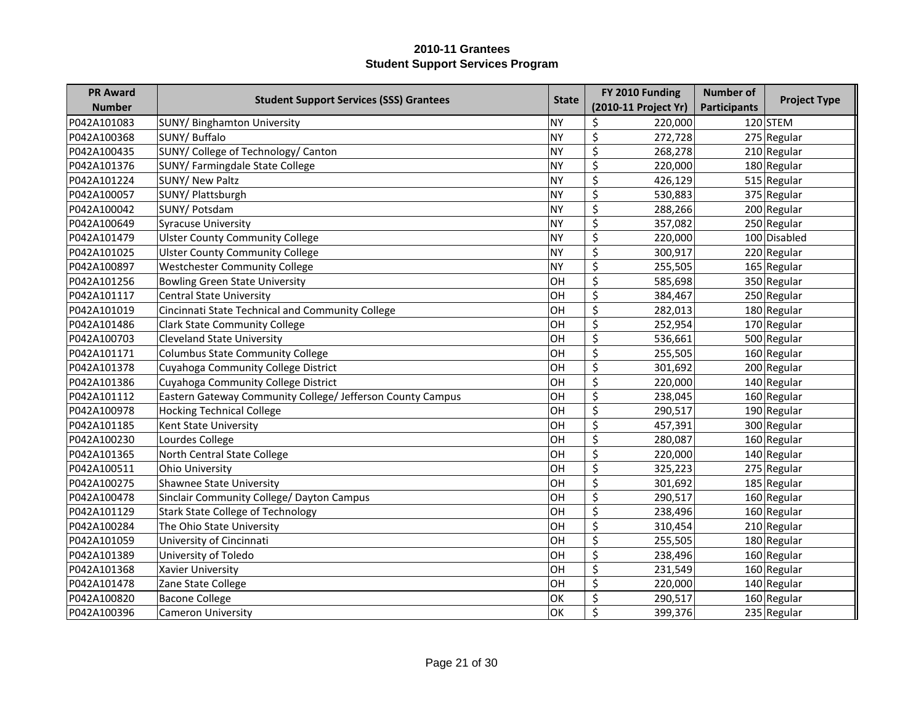| <b>PR Award</b> |                                                            |              | FY 2010 Funding             | <b>Number of</b>    |                     |
|-----------------|------------------------------------------------------------|--------------|-----------------------------|---------------------|---------------------|
| <b>Number</b>   | <b>Student Support Services (SSS) Grantees</b>             | <b>State</b> | (2010-11 Project Yr)        | <b>Participants</b> | <b>Project Type</b> |
| P042A101083     | <b>SUNY/ Binghamton University</b>                         | <b>NY</b>    | \$<br>220,000               |                     | $120$ STEM          |
| P042A100368     | SUNY/ Buffalo                                              | <b>NY</b>    | \$<br>272,728               |                     | 275 Regular         |
| P042A100435     | SUNY/ College of Technology/ Canton                        | <b>NY</b>    | \$<br>268,278               |                     | 210 Regular         |
| P042A101376     | SUNY/Farmingdale State College                             | <b>NY</b>    | \$<br>220,000               |                     | 180 Regular         |
| P042A101224     | SUNY/ New Paltz                                            | <b>NY</b>    | $\overline{\xi}$<br>426,129 |                     | 515 Regular         |
| P042A100057     | SUNY/ Plattsburgh                                          | NY           | \$<br>530,883               |                     | 375 Regular         |
| P042A100042     | SUNY/ Potsdam                                              | NY           | \$<br>288,266               |                     | 200 Regular         |
| P042A100649     | Syracuse University                                        | NY           | \$<br>357,082               |                     | 250 Regular         |
| P042A101479     | <b>Ulster County Community College</b>                     | NY           | \$<br>220,000               |                     | 100 Disabled        |
| P042A101025     | <b>Ulster County Community College</b>                     | <b>NY</b>    | \$<br>300,917               |                     | 220 Regular         |
| P042A100897     | <b>Westchester Community College</b>                       | <b>NY</b>    | \$<br>255,505               |                     | 165 Regular         |
| P042A101256     | <b>Bowling Green State University</b>                      | OH           | \$<br>585,698               |                     | 350 Regular         |
| P042A101117     | Central State University                                   | OH           | \$<br>384,467               |                     | 250 Regular         |
| P042A101019     | Cincinnati State Technical and Community College           | OH           | \$<br>282,013               |                     | 180 Regular         |
| P042A101486     | <b>Clark State Community College</b>                       | OH           | \$<br>252,954               |                     | 170 Regular         |
| P042A100703     | <b>Cleveland State University</b>                          | OH           | \$<br>536,661               |                     | 500 Regular         |
| P042A101171     | Columbus State Community College                           | OH           | \$<br>255,505               |                     | 160 Regular         |
| P042A101378     | Cuyahoga Community College District                        | OH           | \$<br>301,692               |                     | 200 Regular         |
| P042A101386     | Cuyahoga Community College District                        | OH           | \$<br>220,000               |                     | 140 Regular         |
| P042A101112     | Eastern Gateway Community College/ Jefferson County Campus | OH           | \$<br>238,045               |                     | 160 Regular         |
| P042A100978     | <b>Hocking Technical College</b>                           | OH           | \$<br>290,517               |                     | 190 Regular         |
| P042A101185     | Kent State University                                      | OH           | \$<br>457,391               |                     | 300 Regular         |
| P042A100230     | Lourdes College                                            | OH           | \$<br>280,087               |                     | 160 Regular         |
| P042A101365     | North Central State College                                | OH           | \$<br>220,000               |                     | 140 Regular         |
| P042A100511     | Ohio University                                            | OH           | \$<br>325,223               |                     | 275 Regular         |
| P042A100275     | Shawnee State University                                   | OH           | \$<br>301,692               |                     | 185 Regular         |
| P042A100478     | Sinclair Community College/ Dayton Campus                  | OH           | \$<br>290,517               |                     | 160 Regular         |
| P042A101129     | <b>Stark State College of Technology</b>                   | OH           | \$<br>238,496               |                     | 160 Regular         |
| P042A100284     | The Ohio State University                                  | OH           | \$<br>310,454               |                     | 210 Regular         |
| P042A101059     | University of Cincinnati                                   | OH           | \$<br>255,505               |                     | 180 Regular         |
| P042A101389     | University of Toledo                                       | OH           | \$<br>238,496               |                     | 160 Regular         |
| P042A101368     | Xavier University                                          | OH           | \$<br>231,549               |                     | 160 Regular         |
| P042A101478     | Zane State College                                         | OH           | \$<br>220,000               |                     | 140 Regular         |
| P042A100820     | <b>Bacone College</b>                                      | OK           | \$<br>290,517               |                     | 160 Regular         |
| P042A100396     | <b>Cameron University</b>                                  | OK           | \$<br>399,376               |                     | 235 Regular         |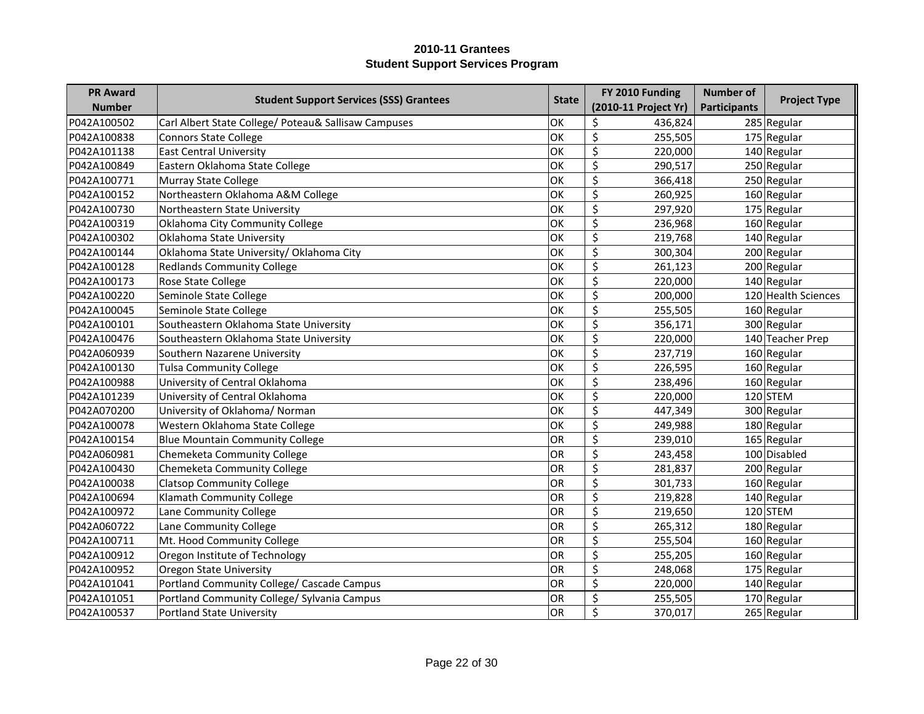| <b>PR Award</b> |                                                      |           | <b>Number of</b><br>FY 2010 Funding<br><b>State</b> |                     |                     |
|-----------------|------------------------------------------------------|-----------|-----------------------------------------------------|---------------------|---------------------|
| <b>Number</b>   | <b>Student Support Services (SSS) Grantees</b>       |           | (2010-11 Project Yr)                                | <b>Participants</b> | <b>Project Type</b> |
| P042A100502     | Carl Albert State College/ Poteau& Sallisaw Campuses | OK        | \$<br>436,824                                       |                     | 285 Regular         |
| P042A100838     | Connors State College                                | OK        | \$<br>255,505                                       |                     | 175 Regular         |
| P042A101138     | <b>East Central University</b>                       | OK        | \$<br>220,000                                       |                     | 140 Regular         |
| P042A100849     | Eastern Oklahoma State College                       | OK        | \$<br>290,517                                       |                     | 250 Regular         |
| P042A100771     | Murray State College                                 | OK        | $\overline{\xi}$<br>366,418                         |                     | 250 Regular         |
| P042A100152     | Northeastern Oklahoma A&M College                    | OK        | $\overline{\xi}$<br>260,925                         |                     | 160 Regular         |
| P042A100730     | Northeastern State University                        | OK        | $\overline{\xi}$<br>297,920                         |                     | 175 Regular         |
| P042A100319     | Oklahoma City Community College                      | OK        | $\overline{\xi}$<br>236,968                         |                     | 160 Regular         |
| P042A100302     | Oklahoma State University                            | OK        | \$<br>219,768                                       |                     | 140 Regular         |
| P042A100144     | Oklahoma State University/ Oklahoma City             | OK        | \$<br>300,304                                       |                     | 200 Regular         |
| P042A100128     | <b>Redlands Community College</b>                    | OK        | \$<br>261,123                                       |                     | 200 Regular         |
| P042A100173     | Rose State College                                   | OK        | \$<br>220,000                                       |                     | 140 Regular         |
| P042A100220     | Seminole State College                               | OK        | \$<br>200,000                                       |                     | 120 Health Sciences |
| P042A100045     | Seminole State College                               | OK        | $\overline{\xi}$<br>255,505                         |                     | 160 Regular         |
| P042A100101     | Southeastern Oklahoma State University               | OK        | \$<br>356,171                                       |                     | 300 Regular         |
| P042A100476     | Southeastern Oklahoma State University               | OK        | \$<br>220,000                                       |                     | 140 Teacher Prep    |
| P042A060939     | Southern Nazarene University                         | OK        | \$<br>237,719                                       |                     | 160 Regular         |
| P042A100130     | <b>Tulsa Community College</b>                       | OK        | \$<br>226,595                                       |                     | 160 Regular         |
| P042A100988     | University of Central Oklahoma                       | OK        | \$<br>238,496                                       |                     | 160 Regular         |
| P042A101239     | University of Central Oklahoma                       | OK        | \$<br>220,000                                       |                     | $120$ STEM          |
| P042A070200     | University of Oklahoma/ Norman                       | OK        | \$<br>447,349                                       |                     | 300 Regular         |
| P042A100078     | Western Oklahoma State College                       | OK        | \$<br>249,988                                       |                     | 180 Regular         |
| P042A100154     | <b>Blue Mountain Community College</b>               | OR        | $\overline{\xi}$<br>239,010                         |                     | 165 Regular         |
| P042A060981     | Chemeketa Community College                          | OR        | \$<br>243,458                                       |                     | 100 Disabled        |
| P042A100430     | Chemeketa Community College                          | OR        | \$<br>281,837                                       |                     | 200 Regular         |
| P042A100038     | <b>Clatsop Community College</b>                     | OR        | \$<br>301,733                                       |                     | 160 Regular         |
| P042A100694     | Klamath Community College                            | OR        | \$<br>219,828                                       |                     | 140 Regular         |
| P042A100972     | Lane Community College                               | OR        | \$<br>219,650                                       |                     | $120$ STEM          |
| P042A060722     | Lane Community College                               | OR        | \$<br>265,312                                       |                     | 180 Regular         |
| P042A100711     | Mt. Hood Community College                           | <b>OR</b> | \$<br>255,504                                       |                     | 160 Regular         |
| P042A100912     | Oregon Institute of Technology                       | OR        | \$<br>255,205                                       |                     | 160 Regular         |
| P042A100952     | <b>Oregon State University</b>                       | OR        | $\overline{\xi}$<br>248,068                         |                     | 175 Regular         |
| P042A101041     | Portland Community College/ Cascade Campus           | OR        | \$<br>220,000                                       |                     | 140 Regular         |
| P042A101051     | Portland Community College/ Sylvania Campus          | OR        | \$<br>255,505                                       |                     | 170 Regular         |
| P042A100537     | Portland State University                            | OR        | $\zeta$<br>370,017                                  |                     | 265 Regular         |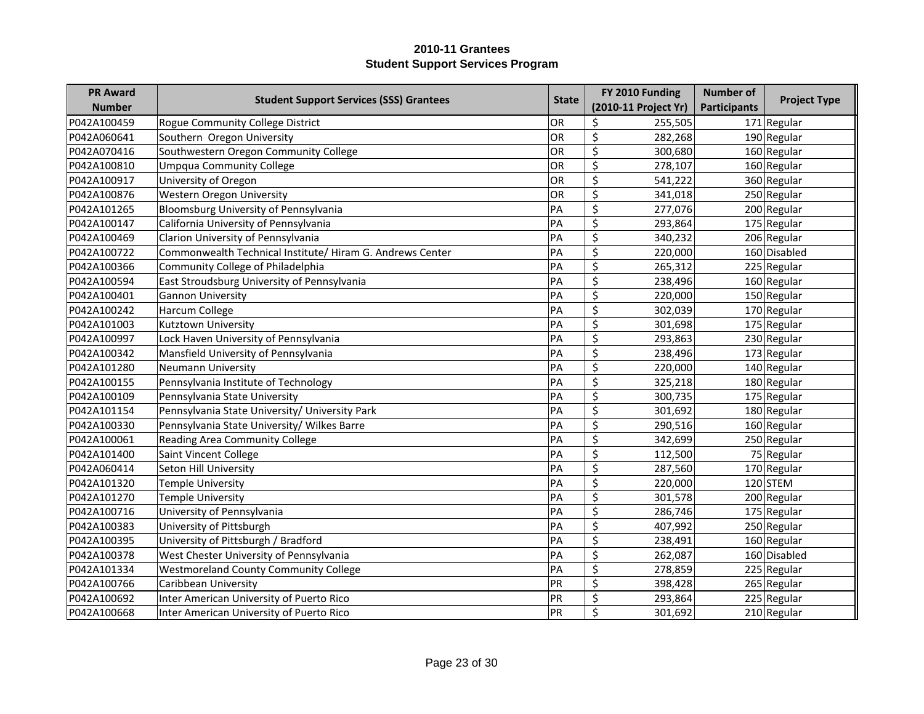| <b>PR Award</b> |                                                           |              | FY 2010 Funding             | <b>Number of</b>    |                     |
|-----------------|-----------------------------------------------------------|--------------|-----------------------------|---------------------|---------------------|
| <b>Number</b>   | <b>Student Support Services (SSS) Grantees</b>            | <b>State</b> | (2010-11 Project Yr)        | <b>Participants</b> | <b>Project Type</b> |
| P042A100459     | Rogue Community College District                          | OR           | \$<br>255,505               |                     | 171 Regular         |
| P042A060641     | Southern Oregon University                                | OR           | \$<br>282,268               |                     | 190 Regular         |
| P042A070416     | Southwestern Oregon Community College                     | <b>OR</b>    | \$<br>300,680               |                     | 160 Regular         |
| P042A100810     | Umpqua Community College                                  | OR           | \$<br>278,107               |                     | 160 Regular         |
| P042A100917     | University of Oregon                                      | OR           | $\overline{\xi}$<br>541,222 |                     | 360 Regular         |
| P042A100876     | Western Oregon University                                 | OR           | \$<br>341,018               |                     | 250 Regular         |
| P042A101265     | Bloomsburg University of Pennsylvania                     | PA           | \$<br>277,076               |                     | 200 Regular         |
| P042A100147     | California University of Pennsylvania                     | PA           | \$<br>293,864               |                     | 175 Regular         |
| P042A100469     | Clarion University of Pennsylvania                        | PA           | \$<br>340,232               |                     | 206 Regular         |
| P042A100722     | Commonwealth Technical Institute/ Hiram G. Andrews Center | PA           | \$<br>220,000               |                     | 160 Disabled        |
| P042A100366     | Community College of Philadelphia                         | PA           | \$<br>265,312               |                     | 225 Regular         |
| P042A100594     | East Stroudsburg University of Pennsylvania               | PA           | \$<br>238,496               |                     | 160 Regular         |
| P042A100401     | Gannon University                                         | PA           | \$<br>220,000               |                     | 150 Regular         |
| P042A100242     | Harcum College                                            | PA           | \$<br>302,039               |                     | 170 Regular         |
| P042A101003     | Kutztown University                                       | PA           | \$<br>301,698               |                     | 175 Regular         |
| P042A100997     | Lock Haven University of Pennsylvania                     | PA           | \$<br>293,863               |                     | 230 Regular         |
| P042A100342     | Mansfield University of Pennsylvania                      | PA           | \$<br>238,496               |                     | 173 Regular         |
| P042A101280     | Neumann University                                        | PA           | \$<br>220,000               |                     | 140 Regular         |
| P042A100155     | Pennsylvania Institute of Technology                      | PA           | \$<br>325,218               |                     | 180 Regular         |
| P042A100109     | Pennsylvania State University                             | PA           | \$<br>300,735               |                     | 175 Regular         |
| P042A101154     | Pennsylvania State University/ University Park            | PA           | \$<br>301,692               |                     | 180 Regular         |
| P042A100330     | Pennsylvania State University/ Wilkes Barre               | PA           | \$<br>290,516               |                     | 160 Regular         |
| P042A100061     | <b>Reading Area Community College</b>                     | PA           | \$<br>342,699               |                     | 250 Regular         |
| P042A101400     | Saint Vincent College                                     | PA           | \$<br>112,500               |                     | 75 Regular          |
| P042A060414     | Seton Hill University                                     | PA           | \$<br>287,560               |                     | 170 Regular         |
| P042A101320     | <b>Temple University</b>                                  | PA           | \$<br>220,000               |                     | $120$ STEM          |
| P042A101270     | <b>Temple University</b>                                  | PA           | \$<br>301,578               |                     | 200 Regular         |
| P042A100716     | University of Pennsylvania                                | PA           | \$<br>286,746               |                     | 175 Regular         |
| P042A100383     | University of Pittsburgh                                  | PA           | \$<br>407,992               |                     | 250 Regular         |
| P042A100395     | University of Pittsburgh / Bradford                       | PA           | \$<br>238,491               |                     | 160 Regular         |
| P042A100378     | West Chester University of Pennsylvania                   | PA           | \$<br>262,087               |                     | 160 Disabled        |
| P042A101334     | <b>Westmoreland County Community College</b>              | PA           | \$<br>278,859               |                     | 225 Regular         |
| P042A100766     | Caribbean University                                      | PR           | \$<br>398,428               |                     | 265 Regular         |
| P042A100692     | Inter American University of Puerto Rico                  | PR           | \$<br>293,864               |                     | 225 Regular         |
| P042A100668     | Inter American University of Puerto Rico                  | PR           | \$<br>301,692               |                     | 210 Regular         |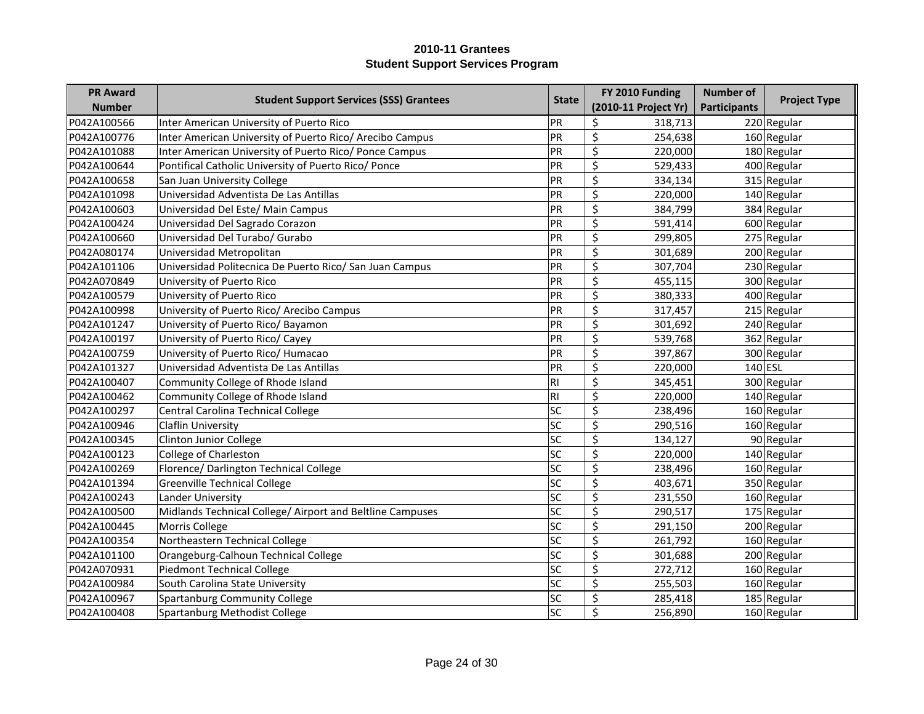| <b>PR Award</b> |                                                           |                 | FY 2010 Funding                            | <b>Number of</b>    |                     |
|-----------------|-----------------------------------------------------------|-----------------|--------------------------------------------|---------------------|---------------------|
| <b>Number</b>   | <b>Student Support Services (SSS) Grantees</b>            | <b>State</b>    | (2010-11 Project Yr)                       | <b>Participants</b> | <b>Project Type</b> |
| P042A100566     | Inter American University of Puerto Rico                  | PR              | \$<br>318,713                              |                     | 220 Regular         |
| P042A100776     | Inter American University of Puerto Rico/ Arecibo Campus  | PR              | \$<br>254,638                              |                     | 160 Regular         |
| P042A101088     | Inter American University of Puerto Rico/ Ponce Campus    | PR              | \$<br>220,000                              |                     | 180 Regular         |
| P042A100644     | Pontifical Catholic University of Puerto Rico/ Ponce      | PR              | \$<br>529,433                              |                     | 400 Regular         |
| P042A100658     | San Juan University College                               | PR              | \$<br>334,134                              |                     | 315 Regular         |
| P042A101098     | Universidad Adventista De Las Antillas                    | PR              | \$<br>220,000                              |                     | 140 Regular         |
| P042A100603     | Universidad Del Este/ Main Campus                         | PR              | \$<br>384,799                              |                     | 384 Regular         |
| P042A100424     | Universidad Del Sagrado Corazon                           | PR              | $\overline{\xi}$<br>591,414                |                     | 600 Regular         |
| P042A100660     | Universidad Del Turabo/ Gurabo                            | PR              | $\overline{\boldsymbol{\zeta}}$<br>299,805 |                     | 275 Regular         |
| P042A080174     | Universidad Metropolitan                                  | PR              | \$<br>301,689                              |                     | 200 Regular         |
| P042A101106     | Universidad Politecnica De Puerto Rico/ San Juan Campus   | PR              | $\overline{\xi}$<br>307,704                |                     | 230 Regular         |
| P042A070849     | University of Puerto Rico                                 | PR              | \$<br>455,115                              |                     | 300 Regular         |
| P042A100579     | University of Puerto Rico                                 | PR              | \$<br>380,333                              |                     | 400 Regular         |
| P042A100998     | University of Puerto Rico/ Arecibo Campus                 | PR              | \$<br>317,457                              |                     | 215 Regular         |
| P042A101247     | University of Puerto Rico/ Bayamon                        | PR              | \$<br>301,692                              |                     | 240 Regular         |
| P042A100197     | University of Puerto Rico/ Cayey                          | PR              | \$<br>539,768                              |                     | 362 Regular         |
| P042A100759     | University of Puerto Rico/ Humacao                        | PR              | \$<br>397,867                              |                     | 300 Regular         |
| P042A101327     | Universidad Adventista De Las Antillas                    | PR              | \$<br>220,000                              | $140$ ESL           |                     |
| P042A100407     | Community College of Rhode Island                         | RI.             | \$<br>345,451                              |                     | 300 Regular         |
| P042A100462     | Community College of Rhode Island                         | RI.             | \$<br>220,000                              |                     | 140 Regular         |
| P042A100297     | Central Carolina Technical College                        | <b>SC</b>       | \$<br>238,496                              |                     | 160 Regular         |
| P042A100946     | Claflin University                                        | <b>SC</b>       | \$<br>290,516                              |                     | 160 Regular         |
| P042A100345     | <b>Clinton Junior College</b>                             | <b>SC</b>       | \$<br>134,127                              |                     | 90 Regular          |
| P042A100123     | <b>College of Charleston</b>                              | lsc             | \$<br>220,000                              |                     | $140$ Regular       |
| P042A100269     | Florence/ Darlington Technical College                    | <b>SC</b>       | \$<br>238,496                              |                     | 160 Regular         |
| P042A101394     | <b>Greenville Technical College</b>                       | <b>SC</b>       | \$<br>403,671                              |                     | 350 Regular         |
| P042A100243     | Lander University                                         | <b>SC</b>       | \$<br>231,550                              |                     | 160 Regular         |
| P042A100500     | Midlands Technical College/ Airport and Beltline Campuses | <b>SC</b>       | \$<br>290,517                              |                     | 175 Regular         |
| P042A100445     | Morris College                                            | <b>SC</b>       | $\overline{\xi}$<br>291,150                |                     | 200 Regular         |
| P042A100354     | Northeastern Technical College                            | <b>SC</b>       | \$<br>261,792                              |                     | 160 Regular         |
| P042A101100     | Orangeburg-Calhoun Technical College                      | <b>SC</b>       | \$<br>301,688                              |                     | 200 Regular         |
| P042A070931     | <b>Piedmont Technical College</b>                         | <b>SC</b>       | \$<br>272,712                              |                     | 160 Regular         |
| P042A100984     | South Carolina State University                           | <b>SC</b>       | \$<br>255,503                              |                     | 160 Regular         |
| P042A100967     | Spartanburg Community College                             | <b>SC</b>       | \$<br>285,418                              |                     | 185 Regular         |
| P042A100408     | Spartanburg Methodist College                             | $\overline{sc}$ | \$<br>256,890                              |                     | 160 Regular         |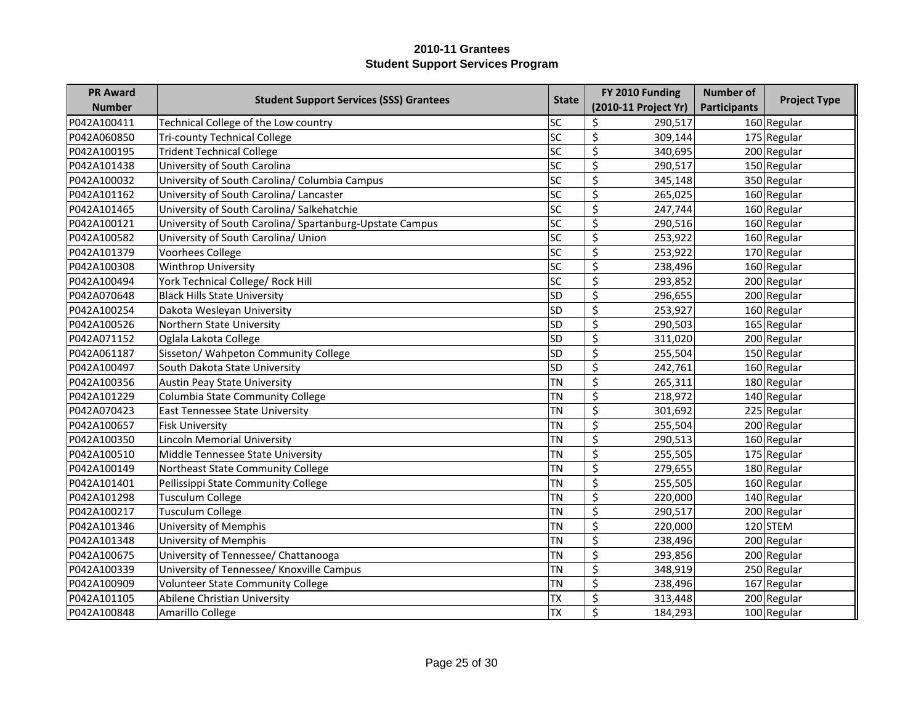| <b>PR Award</b> |                                                          | <b>State</b> | FY 2010 Funding             | <b>Number of</b>    |                     |
|-----------------|----------------------------------------------------------|--------------|-----------------------------|---------------------|---------------------|
| <b>Number</b>   | <b>Student Support Services (SSS) Grantees</b>           |              | (2010-11 Project Yr)        | <b>Participants</b> | <b>Project Type</b> |
| P042A100411     | Technical College of the Low country                     | SC           | \$<br>290,517               |                     | 160 Regular         |
| P042A060850     | <b>Tri-county Technical College</b>                      | SC           | \$<br>309,144               |                     | 175 Regular         |
| P042A100195     | <b>Trident Technical College</b>                         | SC           | \$<br>340,695               |                     | 200 Regular         |
| P042A101438     | University of South Carolina                             | SC           | \$<br>290,517               |                     | 150 Regular         |
| P042A100032     | University of South Carolina/ Columbia Campus            | SC           | $\overline{\xi}$<br>345,148 |                     | 350 Regular         |
| P042A101162     | University of South Carolina/ Lancaster                  | SC           | \$<br>265,025               |                     | 160 Regular         |
| P042A101465     | University of South Carolina/ Salkehatchie               | SC           | \$<br>247,744               |                     | 160 Regular         |
| P042A100121     | University of South Carolina/ Spartanburg-Upstate Campus | SC           | \$<br>290,516               |                     | 160 Regular         |
| P042A100582     | University of South Carolina/ Union                      | SC           | \$<br>253,922               |                     | 160 Regular         |
| P042A101379     | Voorhees College                                         | SC           | \$<br>253,922               |                     | 170 Regular         |
| P042A100308     | Winthrop University                                      | SC           | \$<br>238,496               |                     | 160 Regular         |
| P042A100494     | York Technical College/ Rock Hill                        | SC           | \$<br>293,852               |                     | 200 Regular         |
| P042A070648     | <b>Black Hills State University</b>                      | <b>SD</b>    | \$<br>296,655               |                     | 200 Regular         |
| P042A100254     | Dakota Wesleyan University                               | <b>SD</b>    | \$<br>253,927               |                     | 160 Regular         |
| P042A100526     | Northern State University                                | <b>SD</b>    | \$<br>290,503               |                     | 165 Regular         |
| P042A071152     | Oglala Lakota College                                    | <b>SD</b>    | \$<br>311,020               |                     | 200 Regular         |
| P042A061187     | Sisseton/ Wahpeton Community College                     | <b>SD</b>    | \$<br>255,504               |                     | 150 Regular         |
| P042A100497     | South Dakota State University                            | <b>SD</b>    | \$<br>242,761               |                     | 160 Regular         |
| P042A100356     | Austin Peay State University                             | TN           | \$<br>265,311               |                     | 180 Regular         |
| P042A101229     | Columbia State Community College                         | TN           | \$<br>218,972               |                     | 140 Regular         |
| P042A070423     | East Tennessee State University                          | TN           | \$<br>301,692               |                     | 225 Regular         |
| P042A100657     | <b>Fisk University</b>                                   | TN           | \$<br>255,504               |                     | 200 Regular         |
| P042A100350     | Lincoln Memorial University                              | TN           | \$<br>290,513               |                     | 160 Regular         |
| P042A100510     | Middle Tennessee State University                        | TN           | \$<br>255,505               |                     | 175 Regular         |
| P042A100149     | Northeast State Community College                        | TN           | \$<br>279,655               |                     | 180 Regular         |
| P042A101401     | Pellissippi State Community College                      | TN           | \$<br>255,505               |                     | 160 Regular         |
| P042A101298     | <b>Tusculum College</b>                                  | TN           | \$<br>220,000               |                     | 140 Regular         |
| P042A100217     | <b>Tusculum College</b>                                  | TN           | \$<br>290,517               |                     | 200 Regular         |
| P042A101346     | <b>University of Memphis</b>                             | TN           | \$<br>220,000               |                     | $120$ STEM          |
| P042A101348     | University of Memphis                                    | TN           | \$<br>238,496               |                     | 200 Regular         |
| P042A100675     | University of Tennessee/ Chattanooga                     | TN           | \$<br>293,856               |                     | 200 Regular         |
| P042A100339     | University of Tennessee/ Knoxville Campus                | TN           | \$<br>348,919               |                     | 250 Regular         |
| P042A100909     | Volunteer State Community College                        | TN           | \$<br>238,496               |                     | $167$ Regular       |
| P042A101105     | Abilene Christian University                             | <b>TX</b>    | \$<br>313,448               |                     | 200 Regular         |
| P042A100848     | Amarillo College                                         | <b>TX</b>    | \$<br>184,293               |                     | 100 Regular         |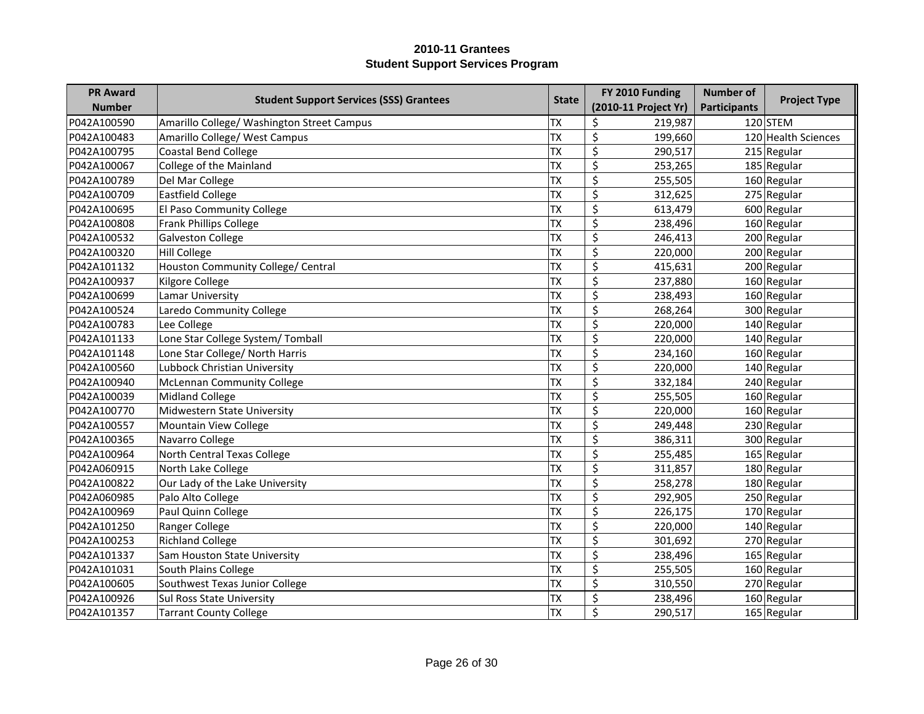| <b>PR Award</b> | <b>Student Support Services (SSS) Grantees</b> | <b>State</b> | FY 2010 Funding             | <b>Number of</b>    | <b>Project Type</b> |
|-----------------|------------------------------------------------|--------------|-----------------------------|---------------------|---------------------|
| <b>Number</b>   |                                                |              | (2010-11 Project Yr)        | <b>Participants</b> |                     |
| P042A100590     | Amarillo College/ Washington Street Campus     | <b>TX</b>    | \$<br>219,987               |                     | $120$ STEM          |
| P042A100483     | Amarillo College/ West Campus                  | <b>TX</b>    | \$<br>199,660               |                     | 120 Health Sciences |
| P042A100795     | <b>Coastal Bend College</b>                    | <b>TX</b>    | \$<br>290,517               |                     | 215 Regular         |
| P042A100067     | College of the Mainland                        | <b>TX</b>    | \$<br>253,265               |                     | 185 Regular         |
| P042A100789     | Del Mar College                                | <b>TX</b>    | \$<br>255,505               |                     | 160 Regular         |
| P042A100709     | <b>Eastfield College</b>                       | <b>TX</b>    | \$<br>312,625               |                     | 275 Regular         |
| P042A100695     | El Paso Community College                      | <b>TX</b>    | \$<br>613,479               |                     | 600 Regular         |
| P042A100808     | Frank Phillips College                         | <b>TX</b>    | \$<br>238,496               |                     | 160 Regular         |
| P042A100532     | <b>Galveston College</b>                       | <b>TX</b>    | $\overline{\xi}$<br>246,413 |                     | 200 Regular         |
| P042A100320     | Hill College                                   | <b>TX</b>    | $\overline{\xi}$<br>220,000 |                     | 200 Regular         |
| P042A101132     | Houston Community College/ Central             | <b>TX</b>    | \$<br>415,631               |                     | 200 Regular         |
| P042A100937     | Kilgore College                                | <b>TX</b>    | \$<br>237,880               |                     | 160 Regular         |
| P042A100699     | Lamar University                               | <b>TX</b>    | \$<br>238,493               |                     | 160 Regular         |
| P042A100524     | Laredo Community College                       | <b>TX</b>    | \$<br>268,264               |                     | 300 Regular         |
| P042A100783     | Lee College                                    | <b>TX</b>    | \$<br>220,000               |                     | 140 Regular         |
| P042A101133     | Lone Star College System/ Tomball              | <b>TX</b>    | \$<br>220,000               |                     | 140 Regular         |
| P042A101148     | Lone Star College/ North Harris                | <b>TX</b>    | \$<br>234,160               |                     | 160 Regular         |
| P042A100560     | Lubbock Christian University                   | <b>TX</b>    | \$<br>220,000               |                     | 140 Regular         |
| P042A100940     | <b>McLennan Community College</b>              | <b>TX</b>    | \$<br>332,184               |                     | 240 Regular         |
| P042A100039     | Midland College                                | <b>TX</b>    | \$<br>255,505               |                     | 160 Regular         |
| P042A100770     | Midwestern State University                    | <b>TX</b>    | \$<br>220,000               |                     | 160 Regular         |
| P042A100557     | Mountain View College                          | <b>TX</b>    | \$<br>249,448               |                     | 230 Regular         |
| P042A100365     | Navarro College                                | <b>TX</b>    | \$<br>386,311               |                     | 300 Regular         |
| P042A100964     | North Central Texas College                    | <b>TX</b>    | \$<br>255,485               |                     | 165 Regular         |
| P042A060915     | North Lake College                             | <b>TX</b>    | \$<br>311,857               |                     | 180 Regular         |
| P042A100822     | Our Lady of the Lake University                | <b>TX</b>    | \$<br>258,278               |                     | 180 Regular         |
| P042A060985     | Palo Alto College                              | <b>TX</b>    | \$<br>292,905               |                     | 250 Regular         |
| P042A100969     | Paul Quinn College                             | <b>TX</b>    | \$<br>226,175               |                     | 170 Regular         |
| P042A101250     | Ranger College                                 | <b>TX</b>    | \$<br>220,000               |                     | 140 Regular         |
| P042A100253     | <b>Richland College</b>                        | <b>TX</b>    | \$<br>301,692               |                     | 270 Regular         |
| P042A101337     | Sam Houston State University                   | <b>TX</b>    | \$<br>238,496               |                     | 165 Regular         |
| P042A101031     | South Plains College                           | <b>TX</b>    | \$<br>255,505               |                     | 160 Regular         |
| P042A100605     | Southwest Texas Junior College                 | <b>TX</b>    | \$<br>310,550               |                     | 270 Regular         |
| P042A100926     | <b>Sul Ross State University</b>               | <b>TX</b>    | \$<br>238,496               |                     | 160 Regular         |
| P042A101357     | <b>Tarrant County College</b>                  | TX           | \$<br>290,517               |                     | 165 Regular         |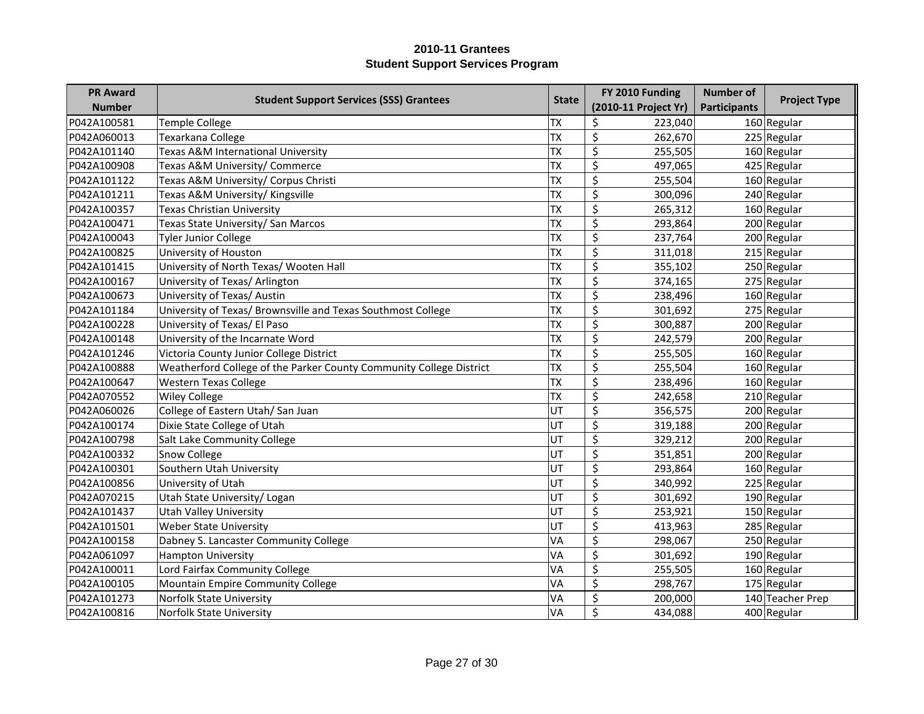| <b>PR Award</b> |                                                                     | <b>State</b> | FY 2010 Funding             | <b>Number of</b>    | <b>Project Type</b> |
|-----------------|---------------------------------------------------------------------|--------------|-----------------------------|---------------------|---------------------|
| <b>Number</b>   | <b>Student Support Services (SSS) Grantees</b>                      |              | (2010-11 Project Yr)        | <b>Participants</b> |                     |
| P042A100581     | <b>Temple College</b>                                               | <b>TX</b>    | \$<br>223,040               |                     | 160 Regular         |
| P042A060013     | Texarkana College                                                   | <b>TX</b>    | \$<br>262,670               |                     | 225 Regular         |
| P042A101140     | Texas A&M International University                                  | <b>TX</b>    | \$<br>255,505               |                     | 160 Regular         |
| P042A100908     | Texas A&M University/ Commerce                                      | <b>TX</b>    | \$<br>497,065               |                     | 425 Regular         |
| P042A101122     | Texas A&M University/ Corpus Christi                                | <b>TX</b>    | $\overline{\xi}$<br>255,504 |                     | 160 Regular         |
| P042A101211     | Texas A&M University/ Kingsville                                    | <b>TX</b>    | \$<br>300,096               |                     | $240$ Regular       |
| P042A100357     | <b>Texas Christian University</b>                                   | <b>TX</b>    | \$<br>265,312               |                     | 160 Regular         |
| P042A100471     | Texas State University/ San Marcos                                  | <b>TX</b>    | \$<br>293,864               |                     | 200 Regular         |
| P042A100043     | Tyler Junior College                                                | <b>TX</b>    | \$<br>237,764               |                     | 200 Regular         |
| P042A100825     | University of Houston                                               | <b>TX</b>    | \$<br>311,018               |                     | 215 Regular         |
| P042A101415     | University of North Texas/ Wooten Hall                              | <b>TX</b>    | \$<br>355,102               |                     | 250 Regular         |
| P042A100167     | University of Texas/ Arlington                                      | <b>TX</b>    | \$<br>374,165               |                     | 275 Regular         |
| P042A100673     | University of Texas/ Austin                                         | <b>TX</b>    | \$<br>238,496               |                     | 160 Regular         |
| P042A101184     | University of Texas/ Brownsville and Texas Southmost College        | <b>TX</b>    | \$<br>301,692               |                     | 275 Regular         |
| P042A100228     | University of Texas/ El Paso                                        | <b>TX</b>    | \$<br>300,887               |                     | 200 Regular         |
| P042A100148     | University of the Incarnate Word                                    | <b>TX</b>    | \$<br>242,579               |                     | 200 Regular         |
| P042A101246     | Victoria County Junior College District                             | <b>TX</b>    | \$<br>255,505               |                     | 160 Regular         |
| P042A100888     | Weatherford College of the Parker County Community College District | <b>TX</b>    | \$<br>255,504               |                     | 160 Regular         |
| P042A100647     | <b>Western Texas College</b>                                        | <b>TX</b>    | \$<br>238,496               |                     | 160 Regular         |
| P042A070552     | <b>Wiley College</b>                                                | <b>TX</b>    | \$<br>242,658               |                     | 210 Regular         |
| P042A060026     | College of Eastern Utah/ San Juan                                   | UT           | \$<br>356,575               |                     | 200 Regular         |
| P042A100174     | Dixie State College of Utah                                         | UT           | \$<br>319,188               |                     | 200 Regular         |
| P042A100798     | Salt Lake Community College                                         | UT           | \$<br>329,212               |                     | 200 Regular         |
| P042A100332     | Snow College                                                        | UT           | \$<br>351,851               |                     | 200 Regular         |
| P042A100301     | Southern Utah University                                            | UT           | \$<br>293,864               |                     | 160 Regular         |
| P042A100856     | University of Utah                                                  | UT           | \$<br>340,992               |                     | 225 Regular         |
| P042A070215     | Utah State University/ Logan                                        | UT           | \$<br>301,692               |                     | 190 Regular         |
| P042A101437     | <b>Utah Valley University</b>                                       | UT           | \$<br>253,921               |                     | 150 Regular         |
| P042A101501     | <b>Weber State University</b>                                       | UT           | \$<br>413,963               |                     | 285 Regular         |
| P042A100158     | Dabney S. Lancaster Community College                               | VA           | \$<br>298,067               |                     | 250 Regular         |
| P042A061097     | Hampton University                                                  | VA           | \$<br>301,692               |                     | 190 Regular         |
| P042A100011     | Lord Fairfax Community College                                      | VA           | \$<br>255,505               |                     | 160 Regular         |
| P042A100105     | Mountain Empire Community College                                   | VA           | \$<br>298,767               |                     | 175 Regular         |
| P042A101273     | Norfolk State University                                            | VA           | \$<br>200,000               |                     | 140 Teacher Prep    |
| P042A100816     | Norfolk State University                                            | VA           | \$<br>434,088               |                     | 400 Regular         |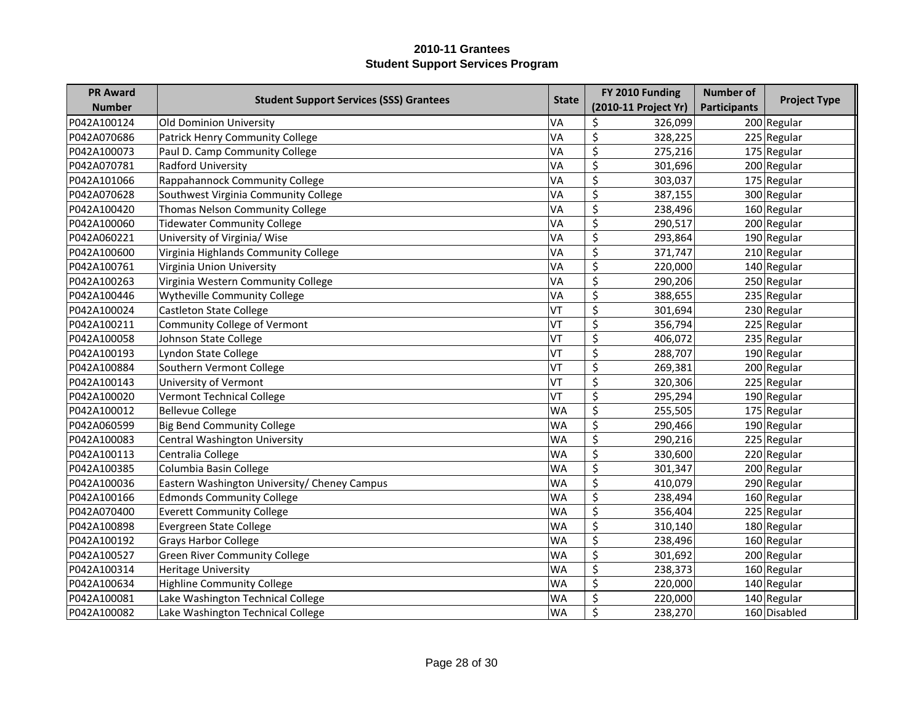| <b>PR Award</b> |                                                | <b>State</b> | FY 2010 Funding             | <b>Number of</b>    |                     |
|-----------------|------------------------------------------------|--------------|-----------------------------|---------------------|---------------------|
| <b>Number</b>   | <b>Student Support Services (SSS) Grantees</b> |              | (2010-11 Project Yr)        | <b>Participants</b> | <b>Project Type</b> |
| P042A100124     | Old Dominion University                        | VA           | \$<br>326,099               |                     | 200 Regular         |
| P042A070686     | Patrick Henry Community College                | VA           | \$<br>328,225               |                     | 225 Regular         |
| P042A100073     | Paul D. Camp Community College                 | VA           | \$<br>275,216               |                     | 175 Regular         |
| P042A070781     | Radford University                             | VA           | \$<br>301,696               |                     | 200 Regular         |
| P042A101066     | Rappahannock Community College                 | VA           | $\overline{\xi}$<br>303,037 |                     | 175 Regular         |
| P042A070628     | Southwest Virginia Community College           | VA           | \$<br>387,155               |                     | 300 Regular         |
| P042A100420     | Thomas Nelson Community College                | VA           | \$<br>238,496               |                     | 160 Regular         |
| P042A100060     | <b>Tidewater Community College</b>             | VA           | \$<br>290,517               |                     | 200 Regular         |
| P042A060221     | University of Virginia/ Wise                   | VA           | \$<br>293,864               |                     | 190 Regular         |
| P042A100600     | Virginia Highlands Community College           | VA           | \$<br>371,747               |                     | 210 Regular         |
| P042A100761     | Virginia Union University                      | VA           | \$<br>220,000               |                     | 140 Regular         |
| P042A100263     | Virginia Western Community College             | VA           | \$<br>290,206               |                     | 250 Regular         |
| P042A100446     | Wytheville Community College                   | VA           | \$<br>388,655               |                     | 235 Regular         |
| P042A100024     | Castleton State College                        | VT           | \$<br>301,694               |                     | 230 Regular         |
| P042A100211     | Community College of Vermont                   | VT           | \$<br>356,794               |                     | 225 Regular         |
| P042A100058     | Johnson State College                          | VT           | \$<br>406,072               |                     | 235 Regular         |
| P042A100193     | Lyndon State College                           | VT           | \$<br>288,707               |                     | 190 Regular         |
| P042A100884     | Southern Vermont College                       | VT           | \$<br>269,381               |                     | 200 Regular         |
| P042A100143     | University of Vermont                          | VT           | \$<br>320,306               |                     | 225 Regular         |
| P042A100020     | <b>Vermont Technical College</b>               | VT           | \$<br>295,294               |                     | 190 Regular         |
| P042A100012     | Bellevue College                               | <b>WA</b>    | \$<br>255,505               |                     | 175 Regular         |
| P042A060599     | Big Bend Community College                     | <b>WA</b>    | \$<br>290,466               |                     | 190 Regular         |
| P042A100083     | Central Washington University                  | <b>WA</b>    | \$<br>290,216               |                     | 225 Regular         |
| P042A100113     | Centralia College                              | <b>WA</b>    | \$<br>330,600               |                     | 220 Regular         |
| P042A100385     | Columbia Basin College                         | <b>WA</b>    | \$<br>301,347               |                     | 200 Regular         |
| P042A100036     | Eastern Washington University/ Cheney Campus   | <b>WA</b>    | \$<br>410,079               |                     | 290 Regular         |
| P042A100166     | <b>Edmonds Community College</b>               | <b>WA</b>    | \$<br>238,494               |                     | 160 Regular         |
| P042A070400     | <b>Everett Community College</b>               | <b>WA</b>    | \$<br>356,404               |                     | 225 Regular         |
| P042A100898     | Evergreen State College                        | <b>WA</b>    | \$<br>310,140               |                     | 180 Regular         |
| P042A100192     | <b>Grays Harbor College</b>                    | <b>WA</b>    | \$<br>238,496               |                     | 160 Regular         |
| P042A100527     | <b>Green River Community College</b>           | <b>WA</b>    | \$<br>301,692               |                     | 200 Regular         |
| P042A100314     | Heritage University                            | <b>WA</b>    | \$<br>238,373               |                     | 160 Regular         |
| P042A100634     | Highline Community College                     | <b>WA</b>    | \$<br>220,000               |                     | 140 Regular         |
| P042A100081     | Lake Washington Technical College              | <b>WA</b>    | \$<br>220,000               |                     | 140 Regular         |
| P042A100082     | Lake Washington Technical College              | <b>WA</b>    | \$<br>238,270               |                     | 160 Disabled        |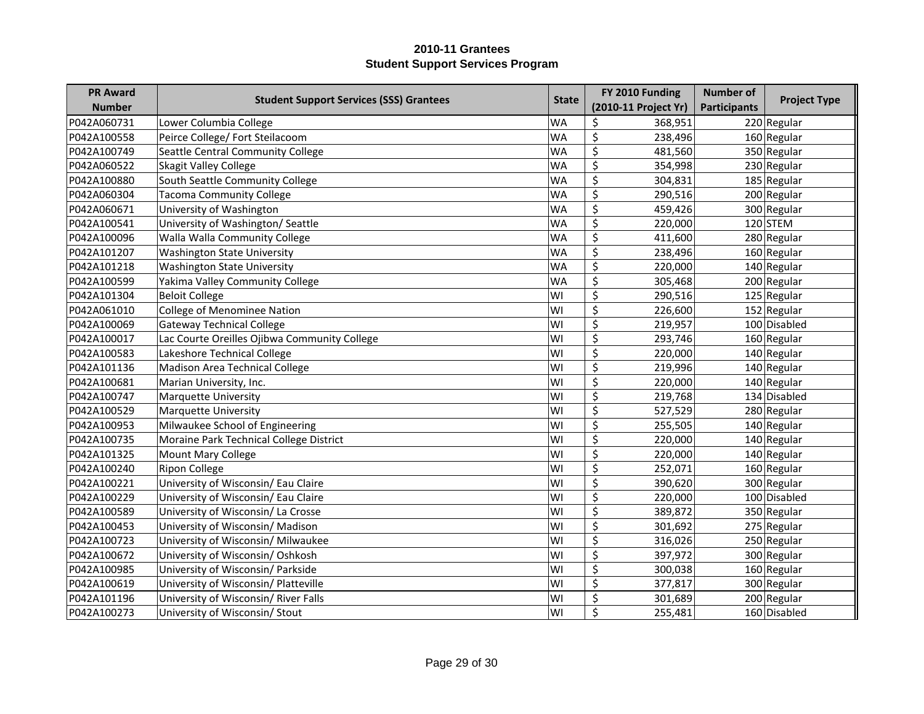| <b>PR Award</b> |                                                | <b>State</b> | FY 2010 Funding      | <b>Number of</b>    | <b>Project Type</b> |
|-----------------|------------------------------------------------|--------------|----------------------|---------------------|---------------------|
| <b>Number</b>   | <b>Student Support Services (SSS) Grantees</b> |              | (2010-11 Project Yr) | <b>Participants</b> |                     |
| P042A060731     | Lower Columbia College                         | <b>WA</b>    | \$<br>368,951        |                     | 220 Regular         |
| P042A100558     | Peirce College/ Fort Steilacoom                | <b>WA</b>    | \$<br>238,496        |                     | 160 Regular         |
| P042A100749     | Seattle Central Community College              | <b>WA</b>    | \$<br>481,560        |                     | 350 Regular         |
| P042A060522     | Skagit Valley College                          | <b>WA</b>    | \$<br>354,998        |                     | 230 Regular         |
| P042A100880     | South Seattle Community College                | <b>WA</b>    | \$<br>304,831        |                     | 185 Regular         |
| P042A060304     | <b>Tacoma Community College</b>                | <b>WA</b>    | \$<br>290,516        |                     | 200 Regular         |
| P042A060671     | University of Washington                       | <b>WA</b>    | \$<br>459,426        |                     | 300 Regular         |
| P042A100541     | University of Washington/ Seattle              | <b>WA</b>    | \$<br>220,000        |                     | $120$ STEM          |
| P042A100096     | Walla Walla Community College                  | <b>WA</b>    | \$<br>411,600        |                     | 280 Regular         |
| P042A101207     | <b>Washington State University</b>             | <b>WA</b>    | \$<br>238,496        |                     | 160 Regular         |
| P042A101218     | <b>Washington State University</b>             | <b>WA</b>    | \$<br>220,000        |                     | 140 Regular         |
| P042A100599     | Yakima Valley Community College                | <b>WA</b>    | \$<br>305,468        |                     | 200 Regular         |
| P042A101304     | <b>Beloit College</b>                          | WI           | \$<br>290,516        |                     | 125 Regular         |
| P042A061010     | College of Menominee Nation                    | WI           | \$<br>226,600        |                     | 152 Regular         |
| P042A100069     | <b>Gateway Technical College</b>               | WI           | \$<br>219,957        |                     | 100 Disabled        |
| P042A100017     | Lac Courte Oreilles Ojibwa Community College   | WI           | \$<br>293,746        |                     | 160 Regular         |
| P042A100583     | Lakeshore Technical College                    | WI           | \$<br>220,000        |                     | 140 Regular         |
| P042A101136     | Madison Area Technical College                 | WI           | \$<br>219,996        |                     | 140 Regular         |
| P042A100681     | Marian University, Inc.                        | WI           | \$<br>220,000        |                     | 140 Regular         |
| P042A100747     | Marquette University                           | WI           | \$<br>219,768        |                     | 134 Disabled        |
| P042A100529     | Marquette University                           | WI           | \$<br>527,529        |                     | 280 Regular         |
| P042A100953     | Milwaukee School of Engineering                | WI           | \$<br>255,505        |                     | 140 Regular         |
| P042A100735     | Moraine Park Technical College District        | WI           | \$<br>220,000        |                     | 140 Regular         |
| P042A101325     | Mount Mary College                             | WI           | \$<br>220,000        |                     | 140 Regular         |
| P042A100240     | <b>Ripon College</b>                           | WI           | \$<br>252,071        |                     | 160 Regular         |
| P042A100221     | University of Wisconsin/ Eau Claire            | WI           | \$<br>390,620        |                     | 300 Regular         |
| P042A100229     | University of Wisconsin/ Eau Claire            | WI           | \$<br>220,000        |                     | 100 Disabled        |
| P042A100589     | University of Wisconsin/La Crosse              | WI           | \$<br>389,872        |                     | 350 Regular         |
| P042A100453     | University of Wisconsin/ Madison               | WI           | \$<br>301,692        |                     | 275 Regular         |
| P042A100723     | University of Wisconsin/ Milwaukee             | WI           | \$<br>316,026        |                     | 250 Regular         |
| P042A100672     | University of Wisconsin/ Oshkosh               | WI           | \$<br>397,972        |                     | 300 Regular         |
| P042A100985     | University of Wisconsin/ Parkside              | WI           | \$<br>300,038        |                     | 160 Regular         |
| P042A100619     | University of Wisconsin/ Platteville           | WI           | \$<br>377,817        |                     | 300 Regular         |
| P042A101196     | University of Wisconsin/ River Falls           | WI           | \$<br>301,689        |                     | 200 Regular         |
| P042A100273     | University of Wisconsin/ Stout                 | WI           | \$<br>255,481        |                     | 160 Disabled        |